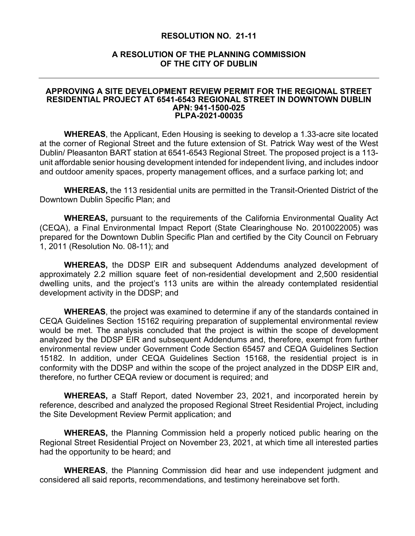## **RESOLUTION NO. 21-11**

## **A RESOLUTION OF THE PLANNING COMMISSION OF THE CITY OF DUBLIN**

## **APPROVING A SITE DEVELOPMENT REVIEW PERMIT FOR THE REGIONAL STREET RESIDENTIAL PROJECT AT 6541-6543 REGIONAL STREET IN DOWNTOWN DUBLIN APN: 941-1500-025 PLPA-2021-00035**

**WHEREAS**, the Applicant, Eden Housing is seeking to develop a 1.33-acre site located at the corner of Regional Street and the future extension of St. Patrick Way west of the West Dublin/ Pleasanton BART station at 6541-6543 Regional Street. The proposed project is a 113 unit affordable senior housing development intended for independent living, and includes indoor and outdoor amenity spaces, property management offices, and a surface parking lot; and

**WHEREAS,** the 113 residential units are permitted in the Transit-Oriented District of the Downtown Dublin Specific Plan; and

**WHEREAS,** pursuant to the requirements of the California Environmental Quality Act (CEQA), a Final Environmental Impact Report (State Clearinghouse No. 2010022005) was prepared for the Downtown Dublin Specific Plan and certified by the City Council on February 1, 2011 (Resolution No. 08-11); and

**WHEREAS,** the DDSP EIR and subsequent Addendums analyzed development of approximately 2.2 million square feet of non-residential development and 2,500 residential dwelling units, and the project's 113 units are within the already contemplated residential development activity in the DDSP; and

**WHEREAS**, the project was examined to determine if any of the standards contained in CEQA Guidelines Section 15162 requiring preparation of supplemental environmental review would be met. The analysis concluded that the project is within the scope of development analyzed by the DDSP EIR and subsequent Addendums and, therefore, exempt from further environmental review under Government Code Section 65457 and CEQA Guidelines Section 15182. In addition, under CEQA Guidelines Section 15168, the residential project is in conformity with the DDSP and within the scope of the project analyzed in the DDSP EIR and, therefore, no further CEQA review or document is required; and

**WHEREAS,** a Staff Report, dated November 23, 2021, and incorporated herein by reference, described and analyzed the proposed Regional Street Residential Project, including the Site Development Review Permit application; and

**WHEREAS,** the Planning Commission held a properly noticed public hearing on the Regional Street Residential Project on November 23, 2021, at which time all interested parties had the opportunity to be heard; and

**WHEREAS**, the Planning Commission did hear and use independent judgment and considered all said reports, recommendations, and testimony hereinabove set forth.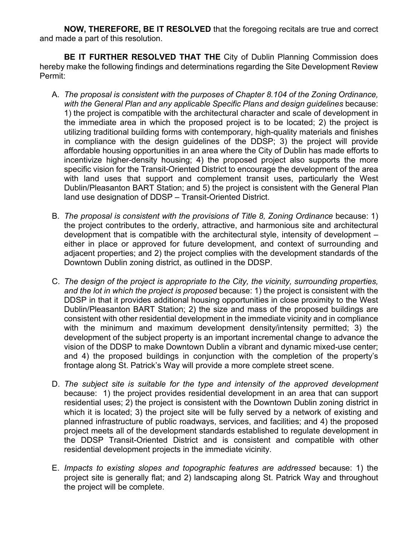**NOW, THEREFORE, BE IT RESOLVED** that the foregoing recitals are true and correct and made a part of this resolution.

**BE IT FURTHER RESOLVED THAT THE** City of Dublin Planning Commission does hereby make the following findings and determinations regarding the Site Development Review Permit:

- A. *The proposal is consistent with the purposes of Chapter 8.104 of the Zoning Ordinance,*  with the General Plan and any applicable Specific Plans and design guidelines because: 1) the project is compatible with the architectural character and scale of development in the immediate area in which the proposed project is to be located; 2) the project is utilizing traditional building forms with contemporary, high-quality materials and finishes in compliance with the design guidelines of the DDSP; 3) the project will provide affordable housing opportunities in an area where the City of Dublin has made efforts to incentivize higher-density housing; 4) the proposed project also supports the more specific vision for the Transit-Oriented District to encourage the development of the area with land uses that support and complement transit uses, particularly the West Dublin/Pleasanton BART Station; and 5) the project is consistent with the General Plan land use designation of DDSP – Transit-Oriented District.
- B. *The proposal is consistent with the provisions of Title 8, Zoning Ordinance because: 1)* the project contributes to the orderly, attractive, and harmonious site and architectural development that is compatible with the architectural style, intensity of development – either in place or approved for future development, and context of surrounding and adjacent properties; and 2) the project complies with the development standards of the Downtown Dublin zoning district, as outlined in the DDSP.
- C. *The design of the project is appropriate to the City, the vicinity, surrounding properties, and the lot in which the project is proposed* because: 1) the project is consistent with the DDSP in that it provides additional housing opportunities in close proximity to the West Dublin/Pleasanton BART Station; 2) the size and mass of the proposed buildings are consistent with other residential development in the immediate vicinity and in compliance with the minimum and maximum development density/intensity permitted; 3) the development of the subject property is an important incremental change to advance the vision of the DDSP to make Downtown Dublin a vibrant and dynamic mixed-use center; and 4) the proposed buildings in conjunction with the completion of the property's frontage along St. Patrick's Way will provide a more complete street scene.
- D. The subject site is suitable for the type and intensity of the approved development because: 1) the project provides residential development in an area that can support residential uses; 2) the project is consistent with the Downtown Dublin zoning district in which it is located; 3) the project site will be fully served by a network of existing and planned infrastructure of public roadways, services, and facilities; and 4) the proposed project meets all of the development standards established to regulate development in the DDSP Transit-Oriented District and is consistent and compatible with other residential development projects in the immediate vicinity.
- E. *Impacts to existing slopes and topographic features are addressed* because: 1) the project site is generally flat; and 2) landscaping along St. Patrick Way and throughout the project will be complete.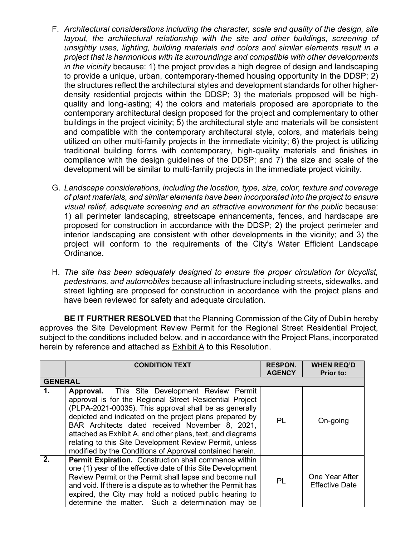- F. *Architectural considerations including the character, scale and quality of the design, site layout, the architectural relationship with the site and other buildings, screening of unsightly uses, lighting, building materials and colors and similar elements result in a project that is harmonious with its surroundings and compatible with other developments in the vicinity* because: 1) the project provides a high degree of design and landscaping to provide a unique, urban, contemporary-themed housing opportunity in the DDSP; 2) the structures reflect the architectural styles and development standards for other higherdensity residential projects within the DDSP; 3) the materials proposed will be highquality and long-lasting; 4) the colors and materials proposed are appropriate to the contemporary architectural design proposed for the project and complementary to other buildings in the project vicinity; 5) the architectural style and materials will be consistent and compatible with the contemporary architectural style, colors, and materials being utilized on other multi-family projects in the immediate vicinity; 6) the project is utilizing traditional building forms with contemporary, high-quality materials and finishes in compliance with the design guidelines of the DDSP; and 7) the size and scale of the development will be similar to multi-family projects in the immediate project vicinity.
- G. *Landscape considerations, including the location, type, size, color, texture and coverage of plant materials, and similar elements have been incorporated into the project to ensure visual relief, adequate screening and an attractive environment for the public* because: 1) all perimeter landscaping, streetscape enhancements, fences, and hardscape are proposed for construction in accordance with the DDSP; 2) the project perimeter and interior landscaping are consistent with other developments in the vicinity; and 3) the project will conform to the requirements of the City's Water Efficient Landscape Ordinance.
- H. *The site has been adequately designed to ensure the proper circulation for bicyclist, pedestrians, and automobiles* because all infrastructure including streets, sidewalks, and street lighting are proposed for construction in accordance with the project plans and have been reviewed for safety and adequate circulation.

**BE IT FURTHER RESOLVED** that the Planning Commission of the City of Dublin hereby approves the Site Development Review Permit for the Regional Street Residential Project, subject to the conditions included below, and in accordance with the Project Plans, incorporated herein by reference and attached as Exhibit A to this Resolution.

|                | <b>CONDITION TEXT</b>                                                                                                                                                                                                                                                                                                                                                                                                                                                        | <b>RESPON.</b><br><b>AGENCY</b> | <b>WHEN REQ'D</b><br><b>Prior to:</b>   |
|----------------|------------------------------------------------------------------------------------------------------------------------------------------------------------------------------------------------------------------------------------------------------------------------------------------------------------------------------------------------------------------------------------------------------------------------------------------------------------------------------|---------------------------------|-----------------------------------------|
| <b>GENERAL</b> |                                                                                                                                                                                                                                                                                                                                                                                                                                                                              |                                 |                                         |
| 1.             | <b>Approval.</b> This Site Development Review Permit<br>approval is for the Regional Street Residential Project<br>(PLPA-2021-00035). This approval shall be as generally<br>depicted and indicated on the project plans prepared by<br>BAR Architects dated received November 8, 2021,<br>attached as Exhibit A, and other plans, text, and diagrams<br>relating to this Site Development Review Permit, unless<br>modified by the Conditions of Approval contained herein. | PL                              | On-going                                |
| 2.             | Permit Expiration. Construction shall commence within<br>one (1) year of the effective date of this Site Development<br>Review Permit or the Permit shall lapse and become null<br>and void. If there is a dispute as to whether the Permit has<br>expired, the City may hold a noticed public hearing to<br>determine the matter. Such a determination may be                                                                                                               | PL                              | One Year After<br><b>Effective Date</b> |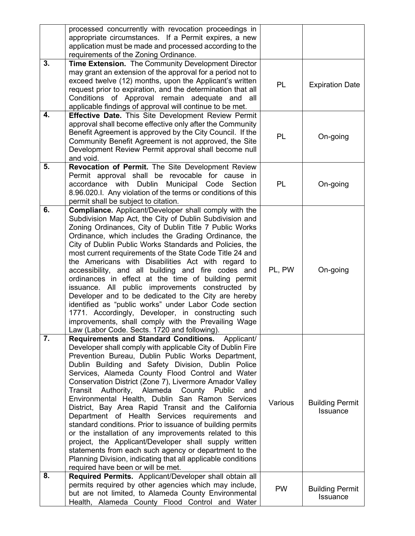|                  | processed concurrently with revocation proceedings in<br>appropriate circumstances. If a Permit expires, a new<br>application must be made and processed according to the<br>requirements of the Zoning Ordinance.                                                                                                                                                                                                                                                                                                                                                                                                                                                                                                                                                                                                                                                                                                        |           |                                           |
|------------------|---------------------------------------------------------------------------------------------------------------------------------------------------------------------------------------------------------------------------------------------------------------------------------------------------------------------------------------------------------------------------------------------------------------------------------------------------------------------------------------------------------------------------------------------------------------------------------------------------------------------------------------------------------------------------------------------------------------------------------------------------------------------------------------------------------------------------------------------------------------------------------------------------------------------------|-----------|-------------------------------------------|
| 3.               | Time Extension. The Community Development Director<br>may grant an extension of the approval for a period not to<br>exceed twelve (12) months, upon the Applicant's written<br>request prior to expiration, and the determination that all<br>Conditions of Approval remain adequate and all<br>applicable findings of approval will continue to be met.                                                                                                                                                                                                                                                                                                                                                                                                                                                                                                                                                                  | PL        | <b>Expiration Date</b>                    |
| 4.               | <b>Effective Date.</b> This Site Development Review Permit<br>approval shall become effective only after the Community<br>Benefit Agreement is approved by the City Council. If the<br>Community Benefit Agreement is not approved, the Site<br>Development Review Permit approval shall become null<br>and void.                                                                                                                                                                                                                                                                                                                                                                                                                                                                                                                                                                                                         | PL        | On-going                                  |
| 5.               | Revocation of Permit. The Site Development Review<br>Permit approval shall be revocable for cause in<br>Municipal Code Section<br>accordance with Dublin<br>8.96.020.I. Any violation of the terms or conditions of this<br>permit shall be subject to citation.                                                                                                                                                                                                                                                                                                                                                                                                                                                                                                                                                                                                                                                          | <b>PL</b> | On-going                                  |
| $\overline{6}$ . | <b>Compliance.</b> Applicant/Developer shall comply with the<br>Subdivision Map Act, the City of Dublin Subdivision and<br>Zoning Ordinances, City of Dublin Title 7 Public Works<br>Ordinance, which includes the Grading Ordinance, the<br>City of Dublin Public Works Standards and Policies, the<br>most current requirements of the State Code Title 24 and<br>the Americans with Disabilities Act with regard to<br>accessibility, and all building and fire codes and<br>ordinances in effect at the time of building permit<br>issuance. All public improvements constructed by<br>Developer and to be dedicated to the City are hereby<br>identified as "public works" under Labor Code section<br>1771. Accordingly, Developer, in constructing such<br>improvements, shall comply with the Prevailing Wage<br>Law (Labor Code. Sects. 1720 and following).                                                     | PL, PW    | On-going                                  |
| $\overline{7}$ . | <b>Requirements and Standard Conditions.</b><br>Applicant/<br>Developer shall comply with applicable City of Dublin Fire<br>Prevention Bureau, Dublin Public Works Department,<br>Dublin Building and Safety Division, Dublin Police<br>Services, Alameda County Flood Control and Water<br>Conservation District (Zone 7), Livermore Amador Valley<br>Authority, Alameda County<br>Transit<br>Public<br>and<br>Environmental Health, Dublin San Ramon Services<br>District, Bay Area Rapid Transit and the California<br>Department of Health Services requirements and<br>standard conditions. Prior to issuance of building permits<br>or the installation of any improvements related to this<br>project, the Applicant/Developer shall supply written<br>statements from each such agency or department to the<br>Planning Division, indicating that all applicable conditions<br>required have been or will be met. | Various   | <b>Building Permit</b><br><b>Issuance</b> |
| 8.               | Required Permits. Applicant/Developer shall obtain all<br>permits required by other agencies which may include,<br>but are not limited, to Alameda County Environmental<br>Health, Alameda County Flood Control and Water                                                                                                                                                                                                                                                                                                                                                                                                                                                                                                                                                                                                                                                                                                 | <b>PW</b> | <b>Building Permit</b><br>Issuance        |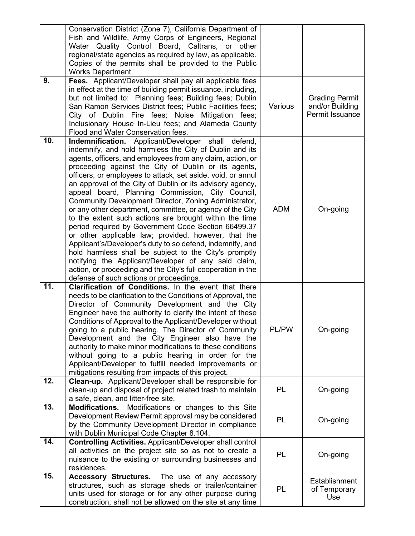|                   | Conservation District (Zone 7), California Department of<br>Fish and Wildlife, Army Corps of Engineers, Regional<br>Water Quality Control Board, Caltrans, or other<br>regional/state agencies as required by law, as applicable.<br>Copies of the permits shall be provided to the Public<br><b>Works Department.</b>                                                                                                                                                                                                                                                                                                                                                                                                                                                                                                                                                                                                                                                                                      |              |                                                             |
|-------------------|-------------------------------------------------------------------------------------------------------------------------------------------------------------------------------------------------------------------------------------------------------------------------------------------------------------------------------------------------------------------------------------------------------------------------------------------------------------------------------------------------------------------------------------------------------------------------------------------------------------------------------------------------------------------------------------------------------------------------------------------------------------------------------------------------------------------------------------------------------------------------------------------------------------------------------------------------------------------------------------------------------------|--------------|-------------------------------------------------------------|
| 9.                | Fees. Applicant/Developer shall pay all applicable fees<br>in effect at the time of building permit issuance, including,<br>but not limited to: Planning fees; Building fees; Dublin<br>San Ramon Services District fees; Public Facilities fees;<br>City of Dublin Fire fees; Noise Mitigation fees;<br>Inclusionary House In-Lieu fees; and Alameda County<br>Flood and Water Conservation fees.                                                                                                                                                                                                                                                                                                                                                                                                                                                                                                                                                                                                          | Various      | <b>Grading Permit</b><br>and/or Building<br>Permit Issuance |
| 10.               | Indemnification. Applicant/Developer shall defend,<br>indemnify, and hold harmless the City of Dublin and its<br>agents, officers, and employees from any claim, action, or<br>proceeding against the City of Dublin or its agents,<br>officers, or employees to attack, set aside, void, or annul<br>an approval of the City of Dublin or its advisory agency,<br>appeal board, Planning Commission, City Council,<br>Community Development Director, Zoning Administrator,<br>or any other department, committee, or agency of the City<br>to the extent such actions are brought within the time<br>period required by Government Code Section 66499.37<br>or other applicable law; provided, however, that the<br>Applicant's/Developer's duty to so defend, indemnify, and<br>hold harmless shall be subject to the City's promptly<br>notifying the Applicant/Developer of any said claim,<br>action, or proceeding and the City's full cooperation in the<br>defense of such actions or proceedings. | <b>ADM</b>   | On-going                                                    |
| $\overline{11}$ . | Clarification of Conditions. In the event that there<br>needs to be clarification to the Conditions of Approval, the<br>Director of Community Development and the City<br>Engineer have the authority to clarify the intent of these<br>Conditions of Approval to the Applicant/Developer without<br>going to a public hearing. The Director of Community<br>Development and the City Engineer also have the<br>authority to make minor modifications to these conditions<br>without going to a public hearing in order for the<br>Applicant/Developer to fulfill needed improvements or<br>mitigations resulting from impacts of this project.                                                                                                                                                                                                                                                                                                                                                             | <b>PL/PW</b> | On-going                                                    |
| 12.               | Clean-up. Applicant/Developer shall be responsible for<br>clean-up and disposal of project related trash to maintain<br>a safe, clean, and litter-free site.                                                                                                                                                                                                                                                                                                                                                                                                                                                                                                                                                                                                                                                                                                                                                                                                                                                | PL           | On-going                                                    |
| 13.               | Modifications or changes to this Site<br><b>Modifications.</b><br>Development Review Permit approval may be considered<br>by the Community Development Director in compliance<br>with Dublin Municipal Code Chapter 8.104.                                                                                                                                                                                                                                                                                                                                                                                                                                                                                                                                                                                                                                                                                                                                                                                  | PL           | On-going                                                    |
| 14.               | Controlling Activities. Applicant/Developer shall control<br>all activities on the project site so as not to create a<br>nuisance to the existing or surrounding businesses and<br>residences.                                                                                                                                                                                                                                                                                                                                                                                                                                                                                                                                                                                                                                                                                                                                                                                                              | PL           | On-going                                                    |
| 15.               | Accessory Structures. The use of any accessory<br>structures, such as storage sheds or trailer/container<br>units used for storage or for any other purpose during<br>construction, shall not be allowed on the site at any time                                                                                                                                                                                                                                                                                                                                                                                                                                                                                                                                                                                                                                                                                                                                                                            | PL           | Establishment<br>of Temporary<br>Use                        |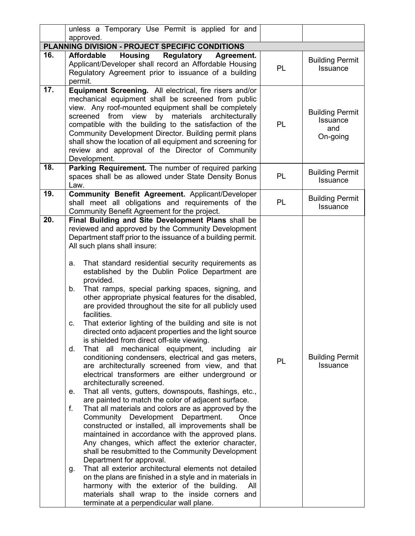|                                                    | unless a Temporary Use Permit is applied for and<br>approved.                                                                                                                                                                                                                                                                                                                                                                                                                                                                                                                                                                                                                                                                                                                                                                                                                                                                                                                                                                                                                                                                                                                                                                                                                                                                                                                                                                                                                                                                                                                                                                                                                        |           |                                                              |
|----------------------------------------------------|--------------------------------------------------------------------------------------------------------------------------------------------------------------------------------------------------------------------------------------------------------------------------------------------------------------------------------------------------------------------------------------------------------------------------------------------------------------------------------------------------------------------------------------------------------------------------------------------------------------------------------------------------------------------------------------------------------------------------------------------------------------------------------------------------------------------------------------------------------------------------------------------------------------------------------------------------------------------------------------------------------------------------------------------------------------------------------------------------------------------------------------------------------------------------------------------------------------------------------------------------------------------------------------------------------------------------------------------------------------------------------------------------------------------------------------------------------------------------------------------------------------------------------------------------------------------------------------------------------------------------------------------------------------------------------------|-----------|--------------------------------------------------------------|
|                                                    | PLANNING DIVISION - PROJECT SPECIFIC CONDITIONS                                                                                                                                                                                                                                                                                                                                                                                                                                                                                                                                                                                                                                                                                                                                                                                                                                                                                                                                                                                                                                                                                                                                                                                                                                                                                                                                                                                                                                                                                                                                                                                                                                      |           |                                                              |
| 16.                                                | <b>Affordable</b><br><b>Housing</b><br>Regulatory<br>Agreement.                                                                                                                                                                                                                                                                                                                                                                                                                                                                                                                                                                                                                                                                                                                                                                                                                                                                                                                                                                                                                                                                                                                                                                                                                                                                                                                                                                                                                                                                                                                                                                                                                      |           |                                                              |
|                                                    | Applicant/Developer shall record an Affordable Housing<br>Regulatory Agreement prior to issuance of a building<br>permit.                                                                                                                                                                                                                                                                                                                                                                                                                                                                                                                                                                                                                                                                                                                                                                                                                                                                                                                                                                                                                                                                                                                                                                                                                                                                                                                                                                                                                                                                                                                                                            | <b>PL</b> | <b>Building Permit</b><br>Issuance                           |
| 17.                                                | Equipment Screening. All electrical, fire risers and/or<br>mechanical equipment shall be screened from public<br>view. Any roof-mounted equipment shall be completely<br>screened from view<br>by materials architecturally<br>compatible with the building to the satisfaction of the<br>Community Development Director. Building permit plans<br>shall show the location of all equipment and screening for<br>review and approval of the Director of Community<br>Development.                                                                                                                                                                                                                                                                                                                                                                                                                                                                                                                                                                                                                                                                                                                                                                                                                                                                                                                                                                                                                                                                                                                                                                                                    | PL        | <b>Building Permit</b><br><b>Issuance</b><br>and<br>On-going |
| 18.                                                | Parking Requirement. The number of required parking<br>spaces shall be as allowed under State Density Bonus<br>Law.                                                                                                                                                                                                                                                                                                                                                                                                                                                                                                                                                                                                                                                                                                                                                                                                                                                                                                                                                                                                                                                                                                                                                                                                                                                                                                                                                                                                                                                                                                                                                                  | PL        | <b>Building Permit</b><br><b>Issuance</b>                    |
| 19.                                                | Community Benefit Agreement. Applicant/Developer<br>shall meet all obligations and requirements of the<br>Community Benefit Agreement for the project.                                                                                                                                                                                                                                                                                                                                                                                                                                                                                                                                                                                                                                                                                                                                                                                                                                                                                                                                                                                                                                                                                                                                                                                                                                                                                                                                                                                                                                                                                                                               | PL        | <b>Building Permit</b><br>Issuance                           |
| 20.<br>a.<br>$b_{-}$<br>C.<br>d.<br>е.<br>f.<br>g. | Final Building and Site Development Plans shall be<br>reviewed and approved by the Community Development<br>Department staff prior to the issuance of a building permit.<br>All such plans shall insure:<br>That standard residential security requirements as<br>established by the Dublin Police Department are<br>provided.<br>That ramps, special parking spaces, signing, and<br>other appropriate physical features for the disabled,<br>are provided throughout the site for all publicly used<br>facilities.<br>That exterior lighting of the building and site is not<br>directed onto adjacent properties and the light source<br>is shielded from direct off-site viewing.<br>That all mechanical equipment, including<br>air<br>conditioning condensers, electrical and gas meters,<br>are architecturally screened from view, and that<br>electrical transformers are either underground or<br>architecturally screened.<br>That all vents, gutters, downspouts, flashings, etc.,<br>are painted to match the color of adjacent surface.<br>That all materials and colors are as approved by the<br>Community Development Department.<br>Once<br>constructed or installed, all improvements shall be<br>maintained in accordance with the approved plans.<br>Any changes, which affect the exterior character,<br>shall be resubmitted to the Community Development<br>Department for approval.<br>That all exterior architectural elements not detailed<br>on the plans are finished in a style and in materials in<br>harmony with the exterior of the building.<br>All<br>materials shall wrap to the inside corners and<br>terminate at a perpendicular wall plane. | PL        | <b>Building Permit</b><br><b>Issuance</b>                    |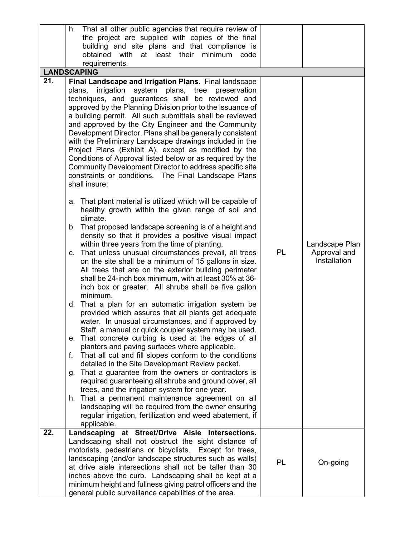|     | h.<br>That all other public agencies that require review of                                                          |    |                |
|-----|----------------------------------------------------------------------------------------------------------------------|----|----------------|
|     | the project are supplied with copies of the final                                                                    |    |                |
|     | building and site plans and that compliance is                                                                       |    |                |
|     | obtained with at least their minimum<br>code                                                                         |    |                |
|     | requirements.<br><b>LANDSCAPING</b>                                                                                  |    |                |
| 21. | Final Landscape and Irrigation Plans. Final landscape                                                                |    |                |
|     | irrigation<br>system plans,<br>plans,<br>tree<br>preservation                                                        |    |                |
|     | techniques, and guarantees shall be reviewed and                                                                     |    |                |
|     | approved by the Planning Division prior to the issuance of                                                           |    |                |
|     | a building permit. All such submittals shall be reviewed                                                             |    |                |
|     | and approved by the City Engineer and the Community                                                                  |    |                |
|     | Development Director. Plans shall be generally consistent<br>with the Preliminary Landscape drawings included in the |    |                |
|     | Project Plans (Exhibit A), except as modified by the                                                                 |    |                |
|     | Conditions of Approval listed below or as required by the                                                            |    |                |
|     | Community Development Director to address specific site                                                              |    |                |
|     | constraints or conditions. The Final Landscape Plans                                                                 |    |                |
|     | shall insure:                                                                                                        |    |                |
|     | That plant material is utilized which will be capable of<br>a.                                                       |    |                |
|     | healthy growth within the given range of soil and                                                                    |    |                |
|     | climate.                                                                                                             |    |                |
|     | b. That proposed landscape screening is of a height and                                                              |    |                |
|     | density so that it provides a positive visual impact<br>within three years from the time of planting.                |    | Landscape Plan |
|     | c. That unless unusual circumstances prevail, all trees                                                              | PL | Approval and   |
|     | on the site shall be a minimum of 15 gallons in size.                                                                |    | Installation   |
|     | All trees that are on the exterior building perimeter                                                                |    |                |
|     | shall be 24-inch box minimum, with at least 30% at 36-                                                               |    |                |
|     | inch box or greater. All shrubs shall be five gallon                                                                 |    |                |
|     | minimum.<br>d. That a plan for an automatic irrigation system be                                                     |    |                |
|     | provided which assures that all plants get adequate                                                                  |    |                |
|     | water. In unusual circumstances, and if approved by                                                                  |    |                |
|     | Staff, a manual or quick coupler system may be used.                                                                 |    |                |
|     | e. That concrete curbing is used at the edges of all                                                                 |    |                |
|     | planters and paving surfaces where applicable.                                                                       |    |                |
|     | That all cut and fill slopes conform to the conditions<br>f.                                                         |    |                |
|     | detailed in the Site Development Review packet.<br>g. That a guarantee from the owners or contractors is             |    |                |
|     | required guaranteeing all shrubs and ground cover, all                                                               |    |                |
|     | trees, and the irrigation system for one year.                                                                       |    |                |
|     | h. That a permanent maintenance agreement on all                                                                     |    |                |
|     | landscaping will be required from the owner ensuring                                                                 |    |                |
|     | regular irrigation, fertilization and weed abatement, if<br>applicable.                                              |    |                |
| 22. | Landscaping at Street/Drive Aisle Intersections.                                                                     |    |                |
|     | Landscaping shall not obstruct the sight distance of                                                                 |    |                |
|     | motorists, pedestrians or bicyclists. Except for trees,                                                              |    |                |
|     | landscaping (and/or landscape structures such as walls)                                                              | PL | On-going       |
|     | at drive aisle intersections shall not be taller than 30                                                             |    |                |
|     | inches above the curb. Landscaping shall be kept at a                                                                |    |                |
|     | minimum height and fullness giving patrol officers and the<br>general public surveillance capabilities of the area.  |    |                |
|     |                                                                                                                      |    |                |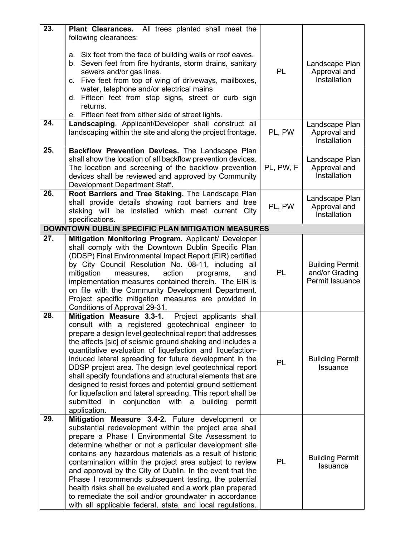| $\overline{23}$ . | All trees planted shall meet the<br><b>Plant Clearances.</b><br>following clearances:                                                                                                                                                                                                                                                                                                                                                                                                                                                                                                                                                                                                               |           |                                                             |
|-------------------|-----------------------------------------------------------------------------------------------------------------------------------------------------------------------------------------------------------------------------------------------------------------------------------------------------------------------------------------------------------------------------------------------------------------------------------------------------------------------------------------------------------------------------------------------------------------------------------------------------------------------------------------------------------------------------------------------------|-----------|-------------------------------------------------------------|
|                   | a. Six feet from the face of building walls or roof eaves.<br>b. Seven feet from fire hydrants, storm drains, sanitary<br>sewers and/or gas lines.<br>c. Five feet from top of wing of driveways, mailboxes,<br>water, telephone and/or electrical mains<br>d. Fifteen feet from stop signs, street or curb sign<br>returns.<br>e. Fifteen feet from either side of street lights.                                                                                                                                                                                                                                                                                                                  | <b>PL</b> | Landscape Plan<br>Approval and<br>Installation              |
| 24.               | Landscaping. Applicant/Developer shall construct all<br>landscaping within the site and along the project frontage.                                                                                                                                                                                                                                                                                                                                                                                                                                                                                                                                                                                 | PL, PW    | Landscape Plan<br>Approval and<br>Installation              |
| 25.               | Backflow Prevention Devices. The Landscape Plan<br>shall show the location of all backflow prevention devices.<br>The location and screening of the backflow prevention<br>devices shall be reviewed and approved by Community<br>Development Department Staff.                                                                                                                                                                                                                                                                                                                                                                                                                                     | PL, PW, F | Landscape Plan<br>Approval and<br>Installation              |
| 26.               | Root Barriers and Tree Staking. The Landscape Plan<br>shall provide details showing root barriers and tree<br>staking will be installed which meet current City<br>specifications.                                                                                                                                                                                                                                                                                                                                                                                                                                                                                                                  | PL, PW    | Landscape Plan<br>Approval and<br>Installation              |
|                   | <b>DOWNTOWN DUBLIN SPECIFIC PLAN MITIGATION MEASURES</b>                                                                                                                                                                                                                                                                                                                                                                                                                                                                                                                                                                                                                                            |           |                                                             |
| $\overline{27}$ . | Mitigation Monitoring Program. Applicant/ Developer<br>shall comply with the Downtown Dublin Specific Plan<br>(DDSP) Final Environmental Impact Report (EIR) certified<br>by City Council Resolution No. 08-11, including all<br>mitigation<br>action<br>measures,<br>programs,<br>and<br>implementation measures contained therein. The EIR is<br>on file with the Community Development Department.<br>Project specific mitigation measures are provided in<br>Conditions of Approval 29-31.                                                                                                                                                                                                      | PL        | <b>Building Permit</b><br>and/or Grading<br>Permit Issuance |
| 28.               | Mitigation Measure 3.3-1.<br>Project applicants shall<br>consult with a registered geotechnical engineer to<br>prepare a design level geotechnical report that addresses<br>the affects [sic] of seismic ground shaking and includes a<br>quantitative evaluation of liquefaction and liquefaction-<br>induced lateral spreading for future development in the<br>DDSP project area. The design level geotechnical report<br>shall specify foundations and structural elements that are<br>designed to resist forces and potential ground settlement<br>for liquefaction and lateral spreading. This report shall be<br>conjunction with a<br>submitted<br>building<br>permit<br>in<br>application. | <b>PL</b> | <b>Building Permit</b><br><b>Issuance</b>                   |
| 29.               | Mitigation Measure 3.4-2. Future development or<br>substantial redevelopment within the project area shall<br>prepare a Phase I Environmental Site Assessment to<br>determine whether or not a particular development site<br>contains any hazardous materials as a result of historic<br>contamination within the project area subject to review<br>and approval by the City of Dublin. In the event that the<br>Phase I recommends subsequent testing, the potential<br>health risks shall be evaluated and a work plan prepared<br>to remediate the soil and/or groundwater in accordance<br>with all applicable federal, state, and local regulations.                                          | <b>PL</b> | <b>Building Permit</b><br><b>Issuance</b>                   |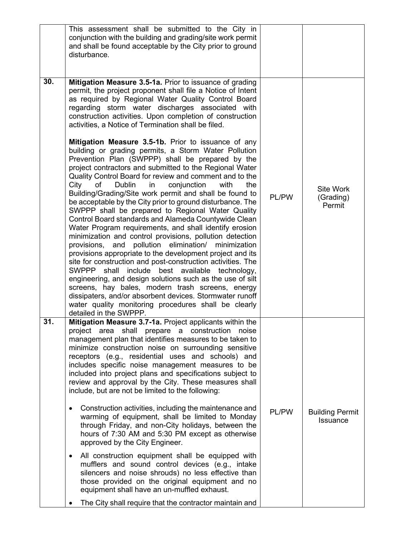| This assessment shall be submitted to the City in<br>conjunction with the building and grading/site work permit<br>and shall be found acceptable by the City prior to ground<br>disturbance.                                                                                                                                                                                                                                                                                                                                                                                                                                                                                                                                                                                                                                                                                                                                                                                                                                                                                                                                                                                                                            |                                                         |                                           |
|-------------------------------------------------------------------------------------------------------------------------------------------------------------------------------------------------------------------------------------------------------------------------------------------------------------------------------------------------------------------------------------------------------------------------------------------------------------------------------------------------------------------------------------------------------------------------------------------------------------------------------------------------------------------------------------------------------------------------------------------------------------------------------------------------------------------------------------------------------------------------------------------------------------------------------------------------------------------------------------------------------------------------------------------------------------------------------------------------------------------------------------------------------------------------------------------------------------------------|---------------------------------------------------------|-------------------------------------------|
| Mitigation Measure 3.5-1a. Prior to issuance of grading<br>permit, the project proponent shall file a Notice of Intent<br>as required by Regional Water Quality Control Board<br>regarding storm water discharges associated with<br>construction activities. Upon completion of construction<br>activities, a Notice of Termination shall be filed.                                                                                                                                                                                                                                                                                                                                                                                                                                                                                                                                                                                                                                                                                                                                                                                                                                                                    |                                                         |                                           |
| Mitigation Measure 3.5-1b. Prior to issuance of any<br>building or grading permits, a Storm Water Pollution<br>Prevention Plan (SWPPP) shall be prepared by the<br>project contractors and submitted to the Regional Water<br>Quality Control Board for review and comment and to the<br>City<br>of<br>in<br>conjunction<br>with<br>Dublin<br>the<br>Building/Grading/Site work permit and shall be found to<br>be acceptable by the City prior to ground disturbance. The<br>SWPPP shall be prepared to Regional Water Quality<br>Control Board standards and Alameda Countywide Clean<br>Water Program requirements, and shall identify erosion<br>minimization and control provisions, pollution detection<br>and pollution elimination/<br>provisions,<br>minimization<br>provisions appropriate to the development project and its<br>site for construction and post-construction activities. The<br>SWPPP shall include best available technology,<br>engineering, and design solutions such as the use of silt<br>screens, hay bales, modern trash screens, energy<br>dissipaters, and/or absorbent devices. Stormwater runoff<br>water quality monitoring procedures shall be clearly<br>detailed in the SWPPP. | PL/PW                                                   | <b>Site Work</b><br>(Grading)<br>Permit   |
| Mitigation Measure 3.7-1a. Project applicants within the<br>project area shall prepare a construction noise<br>management plan that identifies measures to be taken to<br>minimize construction noise on surrounding sensitive<br>receptors (e.g., residential uses and schools) and<br>includes specific noise management measures to be<br>included into project plans and specifications subject to<br>review and approval by the City. These measures shall<br>include, but are not be limited to the following:<br>Construction activities, including the maintenance and<br>$\bullet$<br>warming of equipment, shall be limited to Monday<br>through Friday, and non-City holidays, between the<br>hours of 7:30 AM and 5:30 PM except as otherwise<br>approved by the City Engineer.<br>All construction equipment shall be equipped with<br>$\bullet$<br>mufflers and sound control devices (e.g., intake<br>silencers and noise shrouds) no less effective than<br>those provided on the original equipment and no<br>equipment shall have an un-muffled exhaust.                                                                                                                                              | PL/PW                                                   | <b>Building Permit</b><br><b>Issuance</b> |
|                                                                                                                                                                                                                                                                                                                                                                                                                                                                                                                                                                                                                                                                                                                                                                                                                                                                                                                                                                                                                                                                                                                                                                                                                         | The City shall require that the contractor maintain and |                                           |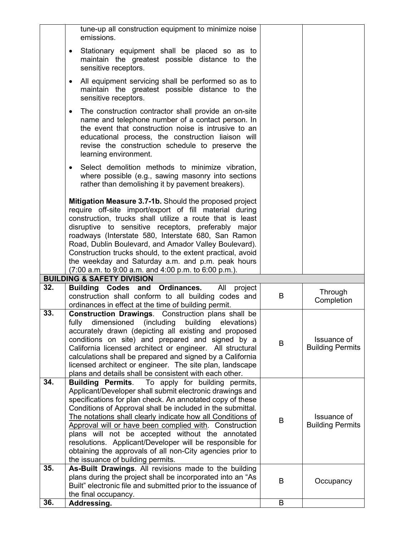|     | tune-up all construction equipment to minimize noise<br>emissions.                                                                                                                                                                                                                                                                                                                                                                                                                                                                                                                        |   |                                        |
|-----|-------------------------------------------------------------------------------------------------------------------------------------------------------------------------------------------------------------------------------------------------------------------------------------------------------------------------------------------------------------------------------------------------------------------------------------------------------------------------------------------------------------------------------------------------------------------------------------------|---|----------------------------------------|
|     | Stationary equipment shall be placed so as to<br>٠<br>maintain the greatest possible distance to the<br>sensitive receptors.                                                                                                                                                                                                                                                                                                                                                                                                                                                              |   |                                        |
|     | All equipment servicing shall be performed so as to<br>$\bullet$<br>maintain the greatest possible distance to the<br>sensitive receptors.                                                                                                                                                                                                                                                                                                                                                                                                                                                |   |                                        |
|     | The construction contractor shall provide an on-site<br>$\bullet$<br>name and telephone number of a contact person. In<br>the event that construction noise is intrusive to an<br>educational process, the construction liaison will<br>revise the construction schedule to preserve the<br>learning environment.                                                                                                                                                                                                                                                                         |   |                                        |
|     | Select demolition methods to minimize vibration,<br>$\bullet$<br>where possible (e.g., sawing masonry into sections<br>rather than demolishing it by pavement breakers).                                                                                                                                                                                                                                                                                                                                                                                                                  |   |                                        |
|     | Mitigation Measure 3.7-1b. Should the proposed project<br>require off-site import/export of fill material during<br>construction, trucks shall utilize a route that is least<br>disruptive to sensitive receptors, preferably major<br>roadways (Interstate 580, Interstate 680, San Ramon<br>Road, Dublin Boulevard, and Amador Valley Boulevard).<br>Construction trucks should, to the extent practical, avoid<br>the weekday and Saturday a.m. and p.m. peak hours<br>$(7:00 a.m. to 9:00 a.m. and 4:00 p.m. to 6:00 p.m.).$                                                          |   |                                        |
|     | <b>BUILDING &amp; SAFETY DIVISION</b>                                                                                                                                                                                                                                                                                                                                                                                                                                                                                                                                                     |   |                                        |
| 32. | Building Codes and Ordinances.<br>All<br>project<br>construction shall conform to all building codes and<br>ordinances in effect at the time of building permit.                                                                                                                                                                                                                                                                                                                                                                                                                          | B | Through<br>Completion                  |
| 33. | <b>Construction Drawings.</b> Construction plans shall be<br>fully<br>dimensioned (including<br>building<br>elevations)<br>accurately drawn (depicting all existing and proposed<br>conditions on site) and prepared and signed by a<br>California licensed architect or engineer. All structural<br>calculations shall be prepared and signed by a California<br>licensed architect or engineer. The site plan, landscape<br>plans and details shall be consistent with each other.                                                                                                      | B | Issuance of<br><b>Building Permits</b> |
| 34. | <b>Building Permits</b> . To apply for building permits,<br>Applicant/Developer shall submit electronic drawings and<br>specifications for plan check. An annotated copy of these<br>Conditions of Approval shall be included in the submittal.<br>The notations shall clearly indicate how all Conditions of<br>Approval will or have been complied with. Construction<br>plans will not be accepted without the annotated<br>resolutions. Applicant/Developer will be responsible for<br>obtaining the approvals of all non-City agencies prior to<br>the issuance of building permits. | B | Issuance of<br><b>Building Permits</b> |
| 35. | As-Built Drawings. All revisions made to the building<br>plans during the project shall be incorporated into an "As<br>Built" electronic file and submitted prior to the issuance of<br>the final occupancy.                                                                                                                                                                                                                                                                                                                                                                              | B | Occupancy                              |
| 36. | Addressing.                                                                                                                                                                                                                                                                                                                                                                                                                                                                                                                                                                               | B |                                        |
|     |                                                                                                                                                                                                                                                                                                                                                                                                                                                                                                                                                                                           |   |                                        |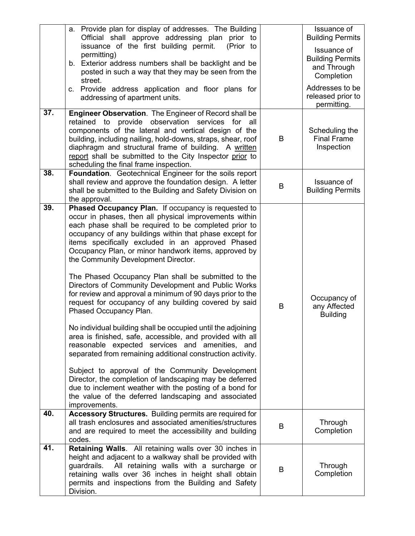| 37. | a. Provide plan for display of addresses. The Building<br>Official shall approve addressing plan prior to<br>issuance of the first building permit.<br>(Prior to<br>permitting)<br>b. Exterior address numbers shall be backlight and be<br>posted in such a way that they may be seen from the<br>street.<br>c. Provide address application and floor plans for<br>addressing of apartment units.<br><b>Engineer Observation.</b> The Engineer of Record shall be<br>provide observation<br>retained to<br>services for all<br>components of the lateral and vertical design of the<br>building, including nailing, hold-downs, straps, shear, roof<br>diaphragm and structural frame of building. A written<br>report shall be submitted to the City Inspector prior to<br>scheduling the final frame inspection.                                                                                                                                                                                                                                                                                                                                  | B | Issuance of<br><b>Building Permits</b><br>Issuance of<br><b>Building Permits</b><br>and Through<br>Completion<br>Addresses to be<br>released prior to<br>permitting.<br>Scheduling the<br><b>Final Frame</b><br>Inspection |
|-----|------------------------------------------------------------------------------------------------------------------------------------------------------------------------------------------------------------------------------------------------------------------------------------------------------------------------------------------------------------------------------------------------------------------------------------------------------------------------------------------------------------------------------------------------------------------------------------------------------------------------------------------------------------------------------------------------------------------------------------------------------------------------------------------------------------------------------------------------------------------------------------------------------------------------------------------------------------------------------------------------------------------------------------------------------------------------------------------------------------------------------------------------------|---|----------------------------------------------------------------------------------------------------------------------------------------------------------------------------------------------------------------------------|
| 38. | Foundation. Geotechnical Engineer for the soils report<br>shall review and approve the foundation design. A letter<br>shall be submitted to the Building and Safety Division on<br>the approval.                                                                                                                                                                                                                                                                                                                                                                                                                                                                                                                                                                                                                                                                                                                                                                                                                                                                                                                                                     | B | Issuance of<br><b>Building Permits</b>                                                                                                                                                                                     |
| 39. | Phased Occupancy Plan. If occupancy is requested to<br>occur in phases, then all physical improvements within<br>each phase shall be required to be completed prior to<br>occupancy of any buildings within that phase except for<br>items specifically excluded in an approved Phased<br>Occupancy Plan, or minor handwork items, approved by<br>the Community Development Director.<br>The Phased Occupancy Plan shall be submitted to the<br>Directors of Community Development and Public Works<br>for review and approval a minimum of 90 days prior to the<br>request for occupancy of any building covered by said<br>Phased Occupancy Plan.<br>No individual building shall be occupied until the adjoining<br>area is finished, safe, accessible, and provided with all<br>reasonable expected services and amenities, and<br>separated from remaining additional construction activity.<br>Subject to approval of the Community Development<br>Director, the completion of landscaping may be deferred<br>due to inclement weather with the posting of a bond for<br>the value of the deferred landscaping and associated<br>improvements. | B | Occupancy of<br>any Affected<br><b>Building</b>                                                                                                                                                                            |
| 40. | <b>Accessory Structures.</b> Building permits are required for<br>all trash enclosures and associated amenities/structures<br>and are required to meet the accessibility and building<br>codes.                                                                                                                                                                                                                                                                                                                                                                                                                                                                                                                                                                                                                                                                                                                                                                                                                                                                                                                                                      | B | Through<br>Completion                                                                                                                                                                                                      |
| 41. | Retaining Walls. All retaining walls over 30 inches in<br>height and adjacent to a walkway shall be provided with<br>All retaining walls with a surcharge or<br>guardrails.<br>retaining walls over 36 inches in height shall obtain<br>permits and inspections from the Building and Safety<br>Division.                                                                                                                                                                                                                                                                                                                                                                                                                                                                                                                                                                                                                                                                                                                                                                                                                                            | B | Through<br>Completion                                                                                                                                                                                                      |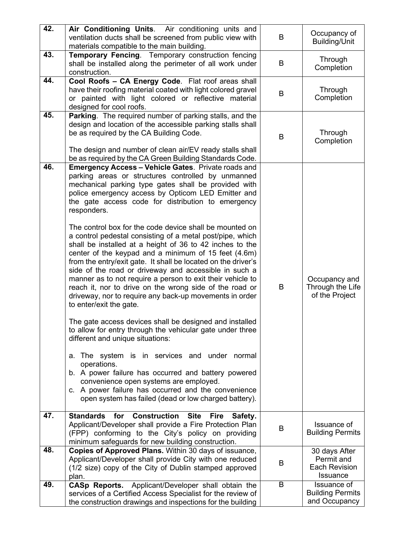| 42. | Air Conditioning Units. Air conditioning units and<br>ventilation ducts shall be screened from public view with<br>materials compatible to the main building.                                                                                                                                                                                                                                                                                                                                                                                                                                                                                                                                                                                                                                                                                                                                                                                                                                                                                                                                                                                                                                                                                                                                                                         | B | Occupancy of<br>Building/Unit                                          |
|-----|---------------------------------------------------------------------------------------------------------------------------------------------------------------------------------------------------------------------------------------------------------------------------------------------------------------------------------------------------------------------------------------------------------------------------------------------------------------------------------------------------------------------------------------------------------------------------------------------------------------------------------------------------------------------------------------------------------------------------------------------------------------------------------------------------------------------------------------------------------------------------------------------------------------------------------------------------------------------------------------------------------------------------------------------------------------------------------------------------------------------------------------------------------------------------------------------------------------------------------------------------------------------------------------------------------------------------------------|---|------------------------------------------------------------------------|
| 43. | <b>Temporary Fencing.</b> Temporary construction fencing<br>shall be installed along the perimeter of all work under<br>construction.                                                                                                                                                                                                                                                                                                                                                                                                                                                                                                                                                                                                                                                                                                                                                                                                                                                                                                                                                                                                                                                                                                                                                                                                 | B | Through<br>Completion                                                  |
| 44. | Cool Roofs - CA Energy Code. Flat roof areas shall<br>have their roofing material coated with light colored gravel<br>or painted with light colored or reflective material<br>designed for cool roofs.                                                                                                                                                                                                                                                                                                                                                                                                                                                                                                                                                                                                                                                                                                                                                                                                                                                                                                                                                                                                                                                                                                                                | B | Through<br>Completion                                                  |
| 45. | Parking. The required number of parking stalls, and the<br>design and location of the accessible parking stalls shall<br>be as required by the CA Building Code.<br>The design and number of clean air/EV ready stalls shall<br>be as required by the CA Green Building Standards Code.                                                                                                                                                                                                                                                                                                                                                                                                                                                                                                                                                                                                                                                                                                                                                                                                                                                                                                                                                                                                                                               | B | Through<br>Completion                                                  |
| 46. | <b>Emergency Access - Vehicle Gates. Private roads and</b><br>parking areas or structures controlled by unmanned<br>mechanical parking type gates shall be provided with<br>police emergency access by Opticom LED Emitter and<br>the gate access code for distribution to emergency<br>responders.<br>The control box for the code device shall be mounted on<br>a control pedestal consisting of a metal post/pipe, which<br>shall be installed at a height of 36 to 42 inches to the<br>center of the keypad and a minimum of 15 feet (4.6m)<br>from the entry/exit gate. It shall be located on the driver's<br>side of the road or driveway and accessible in such a<br>manner as to not require a person to exit their vehicle to<br>reach it, nor to drive on the wrong side of the road or<br>driveway, nor to require any back-up movements in order<br>to enter/exit the gate.<br>The gate access devices shall be designed and installed<br>to allow for entry through the vehicular gate under three<br>different and unique situations:<br>a. The system is in services and under normal<br>operations.<br>b. A power failure has occurred and battery powered<br>convenience open systems are employed.<br>c. A power failure has occurred and the convenience<br>open system has failed (dead or low charged battery). | B | Occupancy and<br>Through the Life<br>of the Project                    |
| 47. | <b>Standards</b><br>for<br><b>Construction Site</b><br><b>Fire</b><br>Safety.<br>Applicant/Developer shall provide a Fire Protection Plan<br>(FPP) conforming to the City's policy on providing<br>minimum safeguards for new building construction.                                                                                                                                                                                                                                                                                                                                                                                                                                                                                                                                                                                                                                                                                                                                                                                                                                                                                                                                                                                                                                                                                  | B | Issuance of<br><b>Building Permits</b>                                 |
| 48. | Copies of Approved Plans. Within 30 days of issuance,<br>Applicant/Developer shall provide City with one reduced<br>(1/2 size) copy of the City of Dublin stamped approved<br>plan.                                                                                                                                                                                                                                                                                                                                                                                                                                                                                                                                                                                                                                                                                                                                                                                                                                                                                                                                                                                                                                                                                                                                                   | B | 30 days After<br>Permit and<br><b>Each Revision</b><br><b>Issuance</b> |
| 49. | <b>CASp Reports.</b> Applicant/Developer shall obtain the<br>services of a Certified Access Specialist for the review of<br>the construction drawings and inspections for the building                                                                                                                                                                                                                                                                                                                                                                                                                                                                                                                                                                                                                                                                                                                                                                                                                                                                                                                                                                                                                                                                                                                                                | B | Issuance of<br><b>Building Permits</b><br>and Occupancy                |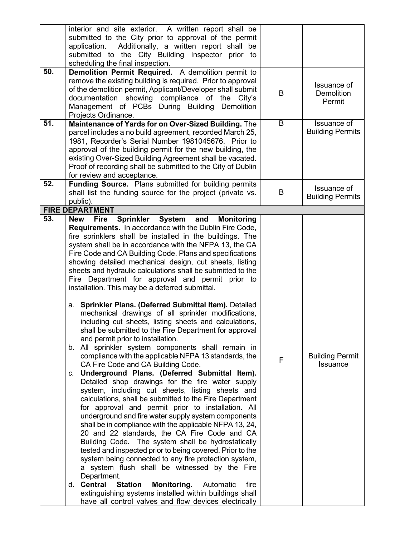|     | interior and site exterior. A written report shall be<br>submitted to the City prior to approval of the permit<br>Additionally, a written report shall be<br>application.<br>submitted to the City Building Inspector prior to<br>scheduling the final inspection.                                                                                                                                                                                                                                                                                                                                                                                                                                                                                                                                                                                                                                                                                                                                                                                                                                                                                                                                                                                                                                                                                                                                                                                                                                                                                                                                                                                              |   |                                            |
|-----|-----------------------------------------------------------------------------------------------------------------------------------------------------------------------------------------------------------------------------------------------------------------------------------------------------------------------------------------------------------------------------------------------------------------------------------------------------------------------------------------------------------------------------------------------------------------------------------------------------------------------------------------------------------------------------------------------------------------------------------------------------------------------------------------------------------------------------------------------------------------------------------------------------------------------------------------------------------------------------------------------------------------------------------------------------------------------------------------------------------------------------------------------------------------------------------------------------------------------------------------------------------------------------------------------------------------------------------------------------------------------------------------------------------------------------------------------------------------------------------------------------------------------------------------------------------------------------------------------------------------------------------------------------------------|---|--------------------------------------------|
| 50. | Demolition Permit Required. A demolition permit to<br>remove the existing building is required. Prior to approval<br>of the demolition permit, Applicant/Developer shall submit<br>documentation showing compliance of<br>the<br>City's<br>Management of PCBs During Building<br><b>Demolition</b><br>Projects Ordinance.                                                                                                                                                                                                                                                                                                                                                                                                                                                                                                                                                                                                                                                                                                                                                                                                                                                                                                                                                                                                                                                                                                                                                                                                                                                                                                                                       | B | Issuance of<br><b>Demolition</b><br>Permit |
| 51. | Maintenance of Yards for on Over-Sized Building. The<br>parcel includes a no build agreement, recorded March 25,<br>1981, Recorder's Serial Number 1981045676. Prior to<br>approval of the building permit for the new building, the<br>existing Over-Sized Building Agreement shall be vacated.<br>Proof of recording shall be submitted to the City of Dublin<br>for review and acceptance.                                                                                                                                                                                                                                                                                                                                                                                                                                                                                                                                                                                                                                                                                                                                                                                                                                                                                                                                                                                                                                                                                                                                                                                                                                                                   | B | Issuance of<br><b>Building Permits</b>     |
| 52. | Funding Source. Plans submitted for building permits<br>shall list the funding source for the project (private vs.<br>public).                                                                                                                                                                                                                                                                                                                                                                                                                                                                                                                                                                                                                                                                                                                                                                                                                                                                                                                                                                                                                                                                                                                                                                                                                                                                                                                                                                                                                                                                                                                                  | B | Issuance of<br><b>Building Permits</b>     |
|     | <b>FIRE DEPARTMENT</b>                                                                                                                                                                                                                                                                                                                                                                                                                                                                                                                                                                                                                                                                                                                                                                                                                                                                                                                                                                                                                                                                                                                                                                                                                                                                                                                                                                                                                                                                                                                                                                                                                                          |   |                                            |
| 53. | Sprinkler System and Monitoring<br><b>New</b><br><b>Fire</b><br><b>Requirements.</b> In accordance with the Dublin Fire Code,<br>fire sprinklers shall be installed in the buildings. The<br>system shall be in accordance with the NFPA 13, the CA<br>Fire Code and CA Building Code. Plans and specifications<br>showing detailed mechanical design, cut sheets, listing<br>sheets and hydraulic calculations shall be submitted to the<br>Fire Department for approval and permit prior to<br>installation. This may be a deferred submittal.<br>a. Sprinkler Plans. (Deferred Submittal Item). Detailed<br>mechanical drawings of all sprinkler modifications,<br>including cut sheets, listing sheets and calculations,<br>shall be submitted to the Fire Department for approval<br>and permit prior to installation.<br>b. All sprinkler system components shall remain in<br>compliance with the applicable NFPA 13 standards, the<br>CA Fire Code and CA Building Code.<br>Underground Plans. (Deferred Submittal Item).<br>C.<br>Detailed shop drawings for the fire water supply<br>system, including cut sheets, listing sheets and<br>calculations, shall be submitted to the Fire Department<br>for approval and permit prior to installation. All<br>underground and fire water supply system components<br>shall be in compliance with the applicable NFPA 13, 24,<br>20 and 22 standards, the CA Fire Code and CA<br>Building Code. The system shall be hydrostatically<br>tested and inspected prior to being covered. Prior to the<br>system being connected to any fire protection system,<br>a system flush shall be witnessed by the Fire | F | <b>Building Permit</b><br>Issuance         |
|     | Department.<br>d. Central<br><b>Station</b><br>Monitoring.<br>fire<br>Automatic<br>extinguishing systems installed within buildings shall<br>have all control valves and flow devices electrically                                                                                                                                                                                                                                                                                                                                                                                                                                                                                                                                                                                                                                                                                                                                                                                                                                                                                                                                                                                                                                                                                                                                                                                                                                                                                                                                                                                                                                                              |   |                                            |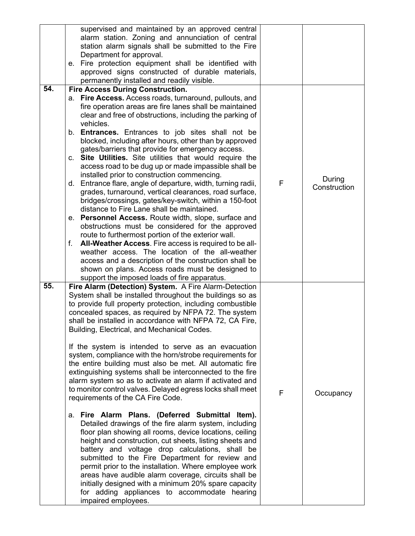|     | supervised and maintained by an approved central<br>alarm station. Zoning and annunciation of central<br>station alarm signals shall be submitted to the Fire<br>Department for approval.<br>e. Fire protection equipment shall be identified with<br>approved signs constructed of durable materials,<br>permanently installed and readily visible.                                                                                                                                                                                                                                                                                                                                                                                                                                                                                                                                                                                                                                                                                                                                                                                                                                                                                                                                                                                                 |   |                        |
|-----|------------------------------------------------------------------------------------------------------------------------------------------------------------------------------------------------------------------------------------------------------------------------------------------------------------------------------------------------------------------------------------------------------------------------------------------------------------------------------------------------------------------------------------------------------------------------------------------------------------------------------------------------------------------------------------------------------------------------------------------------------------------------------------------------------------------------------------------------------------------------------------------------------------------------------------------------------------------------------------------------------------------------------------------------------------------------------------------------------------------------------------------------------------------------------------------------------------------------------------------------------------------------------------------------------------------------------------------------------|---|------------------------|
| 54. | <b>Fire Access During Construction.</b><br>a. Fire Access. Access roads, turnaround, pullouts, and<br>fire operation areas are fire lanes shall be maintained<br>clear and free of obstructions, including the parking of<br>vehicles.<br>b. <b>Entrances.</b> Entrances to job sites shall not be<br>blocked, including after hours, other than by approved<br>gates/barriers that provide for emergency access.<br>c. Site Utilities. Site utilities that would require the<br>access road to be dug up or made impassible shall be<br>installed prior to construction commencing.<br>d. Entrance flare, angle of departure, width, turning radii,<br>grades, turnaround, vertical clearances, road surface,<br>bridges/crossings, gates/key-switch, within a 150-foot<br>distance to Fire Lane shall be maintained.<br>e. Personnel Access. Route width, slope, surface and<br>obstructions must be considered for the approved<br>route to furthermost portion of the exterior wall.<br>All-Weather Access. Fire access is required to be all-<br>f.<br>weather access. The location of the all-weather<br>access and a description of the construction shall be<br>shown on plans. Access roads must be designed to<br>support the imposed loads of fire apparatus.                                                                             | F | During<br>Construction |
| 55. | Fire Alarm (Detection) System. A Fire Alarm-Detection<br>System shall be installed throughout the buildings so as<br>to provide full property protection, including combustible<br>concealed spaces, as required by NFPA 72. The system<br>shall be installed in accordance with NFPA 72, CA Fire,<br>Building, Electrical, and Mechanical Codes.<br>If the system is intended to serve as an evacuation<br>system, compliance with the horn/strobe requirements for<br>the entire building must also be met. All automatic fire<br>extinguishing systems shall be interconnected to the fire<br>alarm system so as to activate an alarm if activated and<br>to monitor control valves. Delayed egress locks shall meet<br>requirements of the CA Fire Code.<br>a. Fire Alarm Plans. (Deferred Submittal Item).<br>Detailed drawings of the fire alarm system, including<br>floor plan showing all rooms, device locations, ceiling<br>height and construction, cut sheets, listing sheets and<br>battery and voltage drop calculations, shall be<br>submitted to the Fire Department for review and<br>permit prior to the installation. Where employee work<br>areas have audible alarm coverage, circuits shall be<br>initially designed with a minimum 20% spare capacity<br>for adding appliances to accommodate hearing<br>impaired employees. | F | Occupancy              |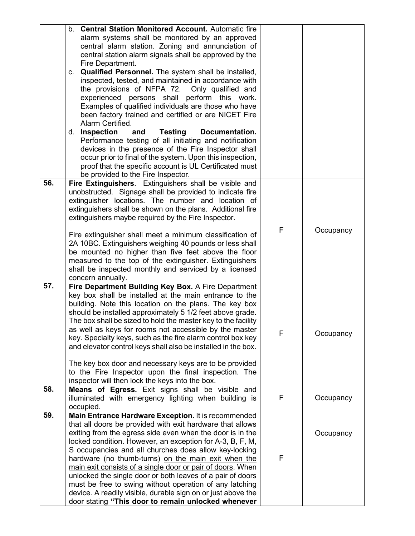|     | b. Central Station Monitored Account. Automatic fire<br>alarm systems shall be monitored by an approved<br>central alarm station. Zoning and annunciation of<br>central station alarm signals shall be approved by the<br>Fire Department.<br>c. Qualified Personnel. The system shall be installed,<br>inspected, tested, and maintained in accordance with<br>the provisions of NFPA 72. Only qualified and<br>experienced persons shall perform this work.<br>Examples of qualified individuals are those who have<br>been factory trained and certified or are NICET Fire<br>Alarm Certified.<br>d. Inspection<br><b>Testing</b><br>Documentation.<br>and<br>Performance testing of all initiating and notification<br>devices in the presence of the Fire Inspector shall<br>occur prior to final of the system. Upon this inspection,<br>proof that the specific account is UL Certificated must<br>be provided to the Fire Inspector. |   |           |
|-----|----------------------------------------------------------------------------------------------------------------------------------------------------------------------------------------------------------------------------------------------------------------------------------------------------------------------------------------------------------------------------------------------------------------------------------------------------------------------------------------------------------------------------------------------------------------------------------------------------------------------------------------------------------------------------------------------------------------------------------------------------------------------------------------------------------------------------------------------------------------------------------------------------------------------------------------------|---|-----------|
| 56. | Fire Extinguishers. Extinguishers shall be visible and<br>unobstructed. Signage shall be provided to indicate fire<br>extinguisher locations. The number and location of<br>extinguishers shall be shown on the plans. Additional fire<br>extinguishers maybe required by the Fire Inspector.<br>Fire extinguisher shall meet a minimum classification of<br>2A 10BC. Extinguishers weighing 40 pounds or less shall<br>be mounted no higher than five feet above the floor<br>measured to the top of the extinguisher. Extinguishers<br>shall be inspected monthly and serviced by a licensed                                                                                                                                                                                                                                                                                                                                               | F | Occupancy |
| 57. | concern annually.<br>Fire Department Building Key Box. A Fire Department<br>key box shall be installed at the main entrance to the<br>building. Note this location on the plans. The key box<br>should be installed approximately 5 1/2 feet above grade.<br>The box shall be sized to hold the master key to the facility<br>as well as keys for rooms not accessible by the master<br>key. Specialty keys, such as the fire alarm control box key<br>and elevator control keys shall also be installed in the box.<br>The key box door and necessary keys are to be provided<br>to the Fire Inspector upon the final inspection. The<br>inspector will then lock the keys into the box.                                                                                                                                                                                                                                                    | F | Occupancy |
| 58. | Means of Egress. Exit signs shall be visible and<br>illuminated with emergency lighting when building is<br>occupied.                                                                                                                                                                                                                                                                                                                                                                                                                                                                                                                                                                                                                                                                                                                                                                                                                        | F | Occupancy |
| 59. | Main Entrance Hardware Exception. It is recommended<br>that all doors be provided with exit hardware that allows<br>exiting from the egress side even when the door is in the<br>locked condition. However, an exception for A-3, B, F, M,<br>S occupancies and all churches does allow key-locking<br>hardware (no thumb-turns) on the main exit when the<br>main exit consists of a single door or pair of doors. When<br>unlocked the single door or both leaves of a pair of doors<br>must be free to swing without operation of any latching<br>device. A readily visible, durable sign on or just above the<br>door stating "This door to remain unlocked whenever                                                                                                                                                                                                                                                                     | F | Occupancy |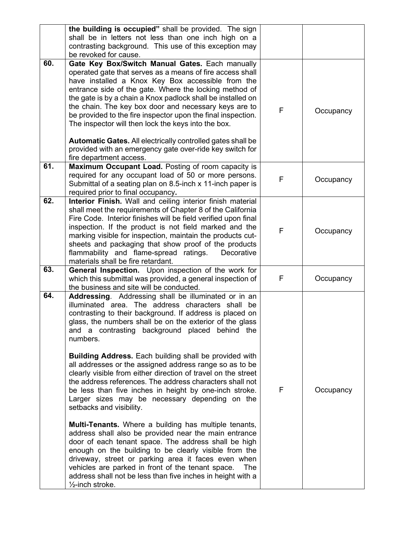|     | the building is occupied" shall be provided. The sign<br>shall be in letters not less than one inch high on a<br>contrasting background. This use of this exception may<br>be revoked for cause.                                                                                                                                                                                                                                                                                                                                                                                                                                                                                                                                                                                                                                                                                                                                                                                                                                                                                                                                                            |   |           |
|-----|-------------------------------------------------------------------------------------------------------------------------------------------------------------------------------------------------------------------------------------------------------------------------------------------------------------------------------------------------------------------------------------------------------------------------------------------------------------------------------------------------------------------------------------------------------------------------------------------------------------------------------------------------------------------------------------------------------------------------------------------------------------------------------------------------------------------------------------------------------------------------------------------------------------------------------------------------------------------------------------------------------------------------------------------------------------------------------------------------------------------------------------------------------------|---|-----------|
| 60. | Gate Key Box/Switch Manual Gates. Each manually<br>operated gate that serves as a means of fire access shall<br>have installed a Knox Key Box accessible from the<br>entrance side of the gate. Where the locking method of<br>the gate is by a chain a Knox padlock shall be installed on<br>the chain. The key box door and necessary keys are to<br>be provided to the fire inspector upon the final inspection.<br>The inspector will then lock the keys into the box.<br>Automatic Gates. All electrically controlled gates shall be<br>provided with an emergency gate over-ride key switch for<br>fire department access.                                                                                                                                                                                                                                                                                                                                                                                                                                                                                                                            | F | Occupancy |
| 61. | Maximum Occupant Load. Posting of room capacity is<br>required for any occupant load of 50 or more persons.<br>Submittal of a seating plan on 8.5-inch x 11-inch paper is<br>required prior to final occupancy.                                                                                                                                                                                                                                                                                                                                                                                                                                                                                                                                                                                                                                                                                                                                                                                                                                                                                                                                             | F | Occupancy |
| 62. | Interior Finish. Wall and ceiling interior finish material<br>shall meet the requirements of Chapter 8 of the California<br>Fire Code. Interior finishes will be field verified upon final<br>inspection. If the product is not field marked and the<br>marking visible for inspection, maintain the products cut-<br>sheets and packaging that show proof of the products<br>flammability and flame-spread ratings.<br>Decorative<br>materials shall be fire retardant.                                                                                                                                                                                                                                                                                                                                                                                                                                                                                                                                                                                                                                                                                    | F | Occupancy |
| 63. | <b>General Inspection.</b> Upon inspection of the work for<br>which this submittal was provided, a general inspection of<br>the business and site will be conducted.                                                                                                                                                                                                                                                                                                                                                                                                                                                                                                                                                                                                                                                                                                                                                                                                                                                                                                                                                                                        | F | Occupancy |
| 64. | Addressing. Addressing shall be illuminated or in an<br>illuminated area. The address characters shall be<br>contrasting to their background. If address is placed on<br>glass, the numbers shall be on the exterior of the glass<br>and a contrasting background placed behind the<br>numbers.<br><b>Building Address.</b> Each building shall be provided with<br>all addresses or the assigned address range so as to be<br>clearly visible from either direction of travel on the street<br>the address references. The address characters shall not<br>be less than five inches in height by one-inch stroke.<br>Larger sizes may be necessary depending on the<br>setbacks and visibility.<br><b>Multi-Tenants.</b> Where a building has multiple tenants,<br>address shall also be provided near the main entrance<br>door of each tenant space. The address shall be high<br>enough on the building to be clearly visible from the<br>driveway, street or parking area it faces even when<br>vehicles are parked in front of the tenant space.<br>The<br>address shall not be less than five inches in height with a<br>$\frac{1}{2}$ -inch stroke. | F | Occupancy |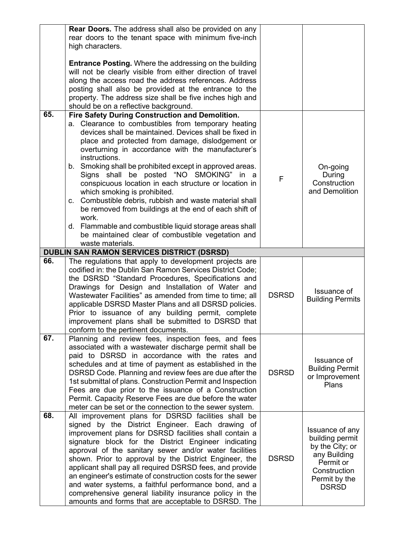|     | <b>Rear Doors.</b> The address shall also be provided on any<br>rear doors to the tenant space with minimum five-inch                                                                                                                                                                                                                                                                                                                                                                                                                                                                                                                                                                                    |              |                                                                                                                                     |
|-----|----------------------------------------------------------------------------------------------------------------------------------------------------------------------------------------------------------------------------------------------------------------------------------------------------------------------------------------------------------------------------------------------------------------------------------------------------------------------------------------------------------------------------------------------------------------------------------------------------------------------------------------------------------------------------------------------------------|--------------|-------------------------------------------------------------------------------------------------------------------------------------|
|     | high characters.                                                                                                                                                                                                                                                                                                                                                                                                                                                                                                                                                                                                                                                                                         |              |                                                                                                                                     |
|     | <b>Entrance Posting.</b> Where the addressing on the building<br>will not be clearly visible from either direction of travel<br>along the access road the address references. Address<br>posting shall also be provided at the entrance to the<br>property. The address size shall be five inches high and<br>should be on a reflective background.                                                                                                                                                                                                                                                                                                                                                      |              |                                                                                                                                     |
| 65. | Fire Safety During Construction and Demolition.                                                                                                                                                                                                                                                                                                                                                                                                                                                                                                                                                                                                                                                          |              |                                                                                                                                     |
|     | a. Clearance to combustibles from temporary heating<br>devices shall be maintained. Devices shall be fixed in<br>place and protected from damage, dislodgement or<br>overturning in accordance with the manufacturer's<br>instructions.<br>b. Smoking shall be prohibited except in approved areas.<br>Signs shall be posted "NO SMOKING" in a<br>conspicuous location in each structure or location in<br>which smoking is prohibited.<br>c. Combustible debris, rubbish and waste material shall<br>be removed from buildings at the end of each shift of<br>work.<br>d. Flammable and combustible liquid storage areas shall<br>be maintained clear of combustible vegetation and<br>waste materials. | F            | On-going<br>During<br>Construction<br>and Demolition                                                                                |
|     | <b>DUBLIN SAN RAMON SERVICES DISTRICT (DSRSD)</b>                                                                                                                                                                                                                                                                                                                                                                                                                                                                                                                                                                                                                                                        |              |                                                                                                                                     |
| 66. | The regulations that apply to development projects are<br>codified in: the Dublin San Ramon Services District Code;<br>the DSRSD "Standard Procedures, Specifications and<br>Drawings for Design and Installation of Water and<br>Wastewater Facilities" as amended from time to time; all<br>applicable DSRSD Master Plans and all DSRSD policies.<br>Prior to issuance of any building permit, complete<br>improvement plans shall be submitted to DSRSD that<br>conform to the pertinent documents.                                                                                                                                                                                                   | <b>DSRSD</b> | Issuance of<br><b>Building Permits</b>                                                                                              |
| 67. | Planning and review fees, inspection fees, and fees<br>associated with a wastewater discharge permit shall be<br>paid to DSRSD in accordance with the rates and<br>schedules and at time of payment as established in the<br>DSRSD Code. Planning and review fees are due after the<br>1st submittal of plans. Construction Permit and Inspection<br>Fees are due prior to the issuance of a Construction<br>Permit. Capacity Reserve Fees are due before the water<br>meter can be set or the connection to the sewer system.                                                                                                                                                                           | <b>DSRSD</b> | Issuance of<br><b>Building Permit</b><br>or Improvement<br>Plans                                                                    |
| 68. | All improvement plans for DSRSD facilities shall be<br>signed by the District Engineer. Each drawing of<br>improvement plans for DSRSD facilities shall contain a<br>signature block for the District Engineer indicating<br>approval of the sanitary sewer and/or water facilities<br>shown. Prior to approval by the District Engineer, the<br>applicant shall pay all required DSRSD fees, and provide<br>an engineer's estimate of construction costs for the sewer<br>and water systems, a faithful performance bond, and a<br>comprehensive general liability insurance policy in the<br>amounts and forms that are acceptable to DSRSD. The                                                       | <b>DSRSD</b> | Issuance of any<br>building permit<br>by the City; or<br>any Building<br>Permit or<br>Construction<br>Permit by the<br><b>DSRSD</b> |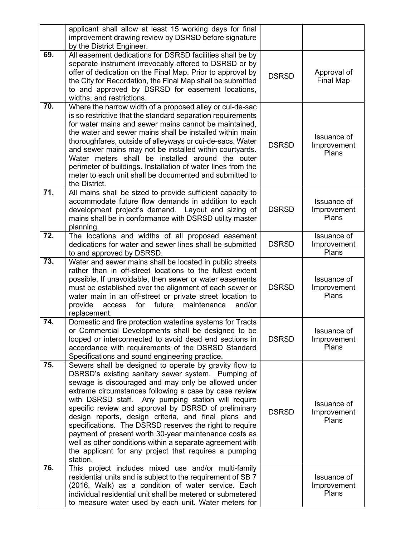|                   | applicant shall allow at least 15 working days for final<br>improvement drawing review by DSRSD before signature<br>by the District Engineer.                                                                                                                                                                                                                                                                                                                                                                                                                                                                                                            |              |                                     |
|-------------------|----------------------------------------------------------------------------------------------------------------------------------------------------------------------------------------------------------------------------------------------------------------------------------------------------------------------------------------------------------------------------------------------------------------------------------------------------------------------------------------------------------------------------------------------------------------------------------------------------------------------------------------------------------|--------------|-------------------------------------|
| 69.               | All easement dedications for DSRSD facilities shall be by<br>separate instrument irrevocably offered to DSRSD or by<br>offer of dedication on the Final Map. Prior to approval by<br>the City for Recordation, the Final Map shall be submitted<br>to and approved by DSRSD for easement locations,<br>widths, and restrictions.                                                                                                                                                                                                                                                                                                                         | <b>DSRSD</b> | Approval of<br>Final Map            |
| 70.               | Where the narrow width of a proposed alley or cul-de-sac<br>is so restrictive that the standard separation requirements<br>for water mains and sewer mains cannot be maintained,<br>the water and sewer mains shall be installed within main<br>thoroughfares, outside of alleyways or cui-de-sacs. Water<br>and sewer mains may not be installed within courtyards.<br>Water meters shall be installed around the outer<br>perimeter of buildings. Installation of water lines from the<br>meter to each unit shall be documented and submitted to<br>the District.                                                                                     | <b>DSRSD</b> | Issuance of<br>Improvement<br>Plans |
| 71.               | All mains shall be sized to provide sufficient capacity to<br>accommodate future flow demands in addition to each<br>development project's demand. Layout and sizing of<br>mains shall be in conformance with DSRSD utility master<br>planning.                                                                                                                                                                                                                                                                                                                                                                                                          | <b>DSRSD</b> | Issuance of<br>Improvement<br>Plans |
| 72.               | The locations and widths of all proposed easement<br>dedications for water and sewer lines shall be submitted<br>to and approved by DSRSD.                                                                                                                                                                                                                                                                                                                                                                                                                                                                                                               | <b>DSRSD</b> | Issuance of<br>Improvement<br>Plans |
| $\overline{73}$ . | Water and sewer mains shall be located in public streets<br>rather than in off-street locations to the fullest extent<br>possible. If unavoidable, then sewer or water easements<br>must be established over the alignment of each sewer or<br>water main in an off-street or private street location to<br>provide<br>for<br>future<br>maintenance<br>access<br>and/or<br>replacement.                                                                                                                                                                                                                                                                  | <b>DSRSD</b> | Issuance of<br>Improvement<br>Plans |
| 74.               | Domestic and fire protection waterline systems for Tracts<br>or Commercial Developments shall be designed to be<br>looped or interconnected to avoid dead end sections in<br>accordance with requirements of the DSRSD Standard<br>Specifications and sound engineering practice.                                                                                                                                                                                                                                                                                                                                                                        | <b>DSRSD</b> | Issuance of<br>Improvement<br>Plans |
| 75.               | Sewers shall be designed to operate by gravity flow to<br>DSRSD's existing sanitary sewer system. Pumping of<br>sewage is discouraged and may only be allowed under<br>extreme circumstances following a case by case review<br>with DSRSD staff. Any pumping station will require<br>specific review and approval by DSRSD of preliminary<br>design reports, design criteria, and final plans and<br>specifications. The DSRSD reserves the right to require<br>payment of present worth 30-year maintenance costs as<br>well as other conditions within a separate agreement with<br>the applicant for any project that requires a pumping<br>station. | <b>DSRSD</b> | Issuance of<br>Improvement<br>Plans |
| 76.               | This project includes mixed use and/or multi-family<br>residential units and is subject to the requirement of SB 7<br>(2016, Walk) as a condition of water service. Each<br>individual residential unit shall be metered or submetered<br>to measure water used by each unit. Water meters for                                                                                                                                                                                                                                                                                                                                                           |              | Issuance of<br>Improvement<br>Plans |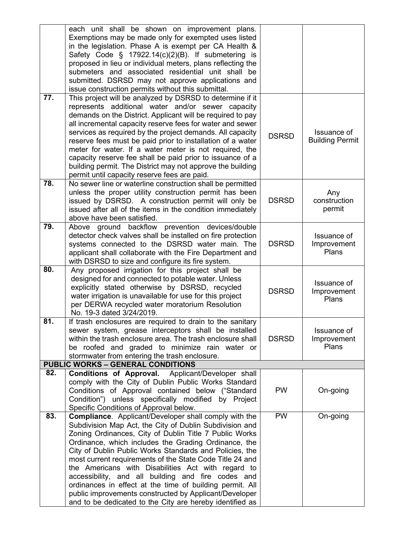|     | each unit shall be shown on improvement plans.<br>Exemptions may be made only for exempted uses listed<br>in the legislation. Phase A is exempt per CA Health &<br>Safety Code § 17922.14(c)(2)(B). If submetering is<br>proposed in lieu or individual meters, plans reflecting the<br>submeters and associated residential unit shall be<br>submitted. DSRSD may not approve applications and<br>issue construction permits without this submittal.                                                                                                                                                                                                          |              |                                       |
|-----|----------------------------------------------------------------------------------------------------------------------------------------------------------------------------------------------------------------------------------------------------------------------------------------------------------------------------------------------------------------------------------------------------------------------------------------------------------------------------------------------------------------------------------------------------------------------------------------------------------------------------------------------------------------|--------------|---------------------------------------|
| 77. | This project will be analyzed by DSRSD to determine if it<br>represents additional water and/or sewer capacity<br>demands on the District. Applicant will be required to pay<br>all incremental capacity reserve fees for water and sewer<br>services as required by the project demands. All capacity<br>reserve fees must be paid prior to installation of a water<br>meter for water. If a water meter is not required, the<br>capacity reserve fee shall be paid prior to issuance of a<br>building permit. The District may not approve the building<br>permit until capacity reserve fees are paid.                                                      | <b>DSRSD</b> | Issuance of<br><b>Building Permit</b> |
| 78. | No sewer line or waterline construction shall be permitted<br>unless the proper utility construction permit has been<br>issued by DSRSD. A construction permit will only be<br>issued after all of the items in the condition immediately<br>above have been satisfied.                                                                                                                                                                                                                                                                                                                                                                                        | <b>DSRSD</b> | Any<br>construction<br>permit         |
| 79. | Above ground backflow prevention devices/double<br>detector check valves shall be installed on fire protection<br>systems connected to the DSRSD water main. The<br>applicant shall collaborate with the Fire Department and<br>with DSRSD to size and configure its fire system.                                                                                                                                                                                                                                                                                                                                                                              | <b>DSRSD</b> | Issuance of<br>Improvement<br>Plans   |
| 80. | Any proposed irrigation for this project shall be<br>designed for and connected to potable water. Unless<br>explicitly stated otherwise by DSRSD, recycled<br>water irrigation is unavailable for use for this project<br>per DERWA recycled water moratorium Resolution<br>No. 19-3 dated 3/24/2019.                                                                                                                                                                                                                                                                                                                                                          | <b>DSRSD</b> | Issuance of<br>Improvement<br>Plans   |
| 81. | If trash enclosures are required to drain to the sanitary<br>sewer system, grease interceptors shall be installed<br>within the trash enclosure area. The trash enclosure shall<br>be roofed and graded to minimize rain water or<br>stormwater from entering the trash enclosure.                                                                                                                                                                                                                                                                                                                                                                             | <b>DSRSD</b> | Issuance of<br>Improvement<br>Plans   |
|     | <b>PUBLIC WORKS - GENERAL CONDITIONS</b>                                                                                                                                                                                                                                                                                                                                                                                                                                                                                                                                                                                                                       |              |                                       |
| 82. | <b>Conditions of Approval.</b> Applicant/Developer shall<br>comply with the City of Dublin Public Works Standard<br>Conditions of Approval contained below ("Standard<br>Condition") unless specifically modified by Project<br>Specific Conditions of Approval below.                                                                                                                                                                                                                                                                                                                                                                                         | <b>PW</b>    | On-going                              |
| 83. | <b>Compliance.</b> Applicant/Developer shall comply with the<br>Subdivision Map Act, the City of Dublin Subdivision and<br>Zoning Ordinances, City of Dublin Title 7 Public Works<br>Ordinance, which includes the Grading Ordinance, the<br>City of Dublin Public Works Standards and Policies, the<br>most current requirements of the State Code Title 24 and<br>the Americans with Disabilities Act with regard to<br>accessibility, and all building and fire codes and<br>ordinances in effect at the time of building permit. All<br>public improvements constructed by Applicant/Developer<br>and to be dedicated to the City are hereby identified as | <b>PW</b>    | On-going                              |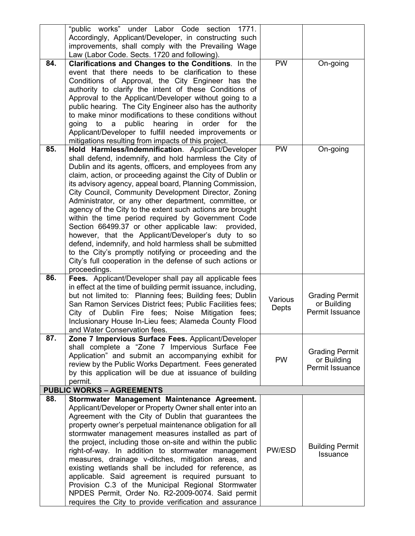|     | "public works" under Labor Code section<br>1771.                                                                  |         |                                |
|-----|-------------------------------------------------------------------------------------------------------------------|---------|--------------------------------|
|     | Accordingly, Applicant/Developer, in constructing such                                                            |         |                                |
|     | improvements, shall comply with the Prevailing Wage                                                               |         |                                |
|     | Law (Labor Code. Sects. 1720 and following).                                                                      |         |                                |
| 84. | Clarifications and Changes to the Conditions. In the                                                              | PW      | On-going                       |
|     | event that there needs to be clarification to these                                                               |         |                                |
|     | Conditions of Approval, the City Engineer has the                                                                 |         |                                |
|     | authority to clarify the intent of these Conditions of                                                            |         |                                |
|     | Approval to the Applicant/Developer without going to a                                                            |         |                                |
|     | public hearing. The City Engineer also has the authority                                                          |         |                                |
|     | to make minor modifications to these conditions without                                                           |         |                                |
|     | going to<br>a public hearing in order for the                                                                     |         |                                |
|     | Applicant/Developer to fulfill needed improvements or                                                             |         |                                |
| 85. | mitigations resulting from impacts of this project.                                                               | PW      |                                |
|     | Hold Harmless/Indemnification. Applicant/Developer                                                                |         | On-going                       |
|     | shall defend, indemnify, and hold harmless the City of<br>Dublin and its agents, officers, and employees from any |         |                                |
|     | claim, action, or proceeding against the City of Dublin or                                                        |         |                                |
|     | its advisory agency, appeal board, Planning Commission,                                                           |         |                                |
|     | City Council, Community Development Director, Zoning                                                              |         |                                |
|     | Administrator, or any other department, committee, or                                                             |         |                                |
|     | agency of the City to the extent such actions are brought                                                         |         |                                |
|     | within the time period required by Government Code                                                                |         |                                |
|     | Section 66499.37 or other applicable law:<br>provided,                                                            |         |                                |
|     | however, that the Applicant/Developer's duty to so                                                                |         |                                |
|     | defend, indemnify, and hold harmless shall be submitted                                                           |         |                                |
|     | to the City's promptly notifying or proceeding and the                                                            |         |                                |
|     | City's full cooperation in the defense of such actions or                                                         |         |                                |
|     | proceedings.                                                                                                      |         |                                |
| 86. | Fees. Applicant/Developer shall pay all applicable fees                                                           |         |                                |
|     | in effect at the time of building permit issuance, including,                                                     |         |                                |
|     | but not limited to: Planning fees; Building fees; Dublin                                                          | Various | <b>Grading Permit</b>          |
|     | San Ramon Services District fees; Public Facilities fees;                                                         | Depts   | or Building                    |
|     | City of Dublin Fire fees; Noise Mitigation fees;                                                                  |         | Permit Issuance                |
|     | Inclusionary House In-Lieu fees; Alameda County Flood                                                             |         |                                |
|     | and Water Conservation fees.                                                                                      |         |                                |
| 87. |                                                                                                                   |         |                                |
|     | Zone 7 Impervious Surface Fees. Applicant/Developer                                                               |         |                                |
|     | shall complete a "Zone 7 Impervious Surface Fee                                                                   |         |                                |
|     | Application" and submit an accompanying exhibit for                                                               | PW      | <b>Grading Permit</b>          |
|     | review by the Public Works Department. Fees generated                                                             |         | or Building<br>Permit Issuance |
|     | by this application will be due at issuance of building                                                           |         |                                |
|     | permit.                                                                                                           |         |                                |
|     | <b>PUBLIC WORKS - AGREEMENTS</b>                                                                                  |         |                                |
| 88. | Stormwater Management Maintenance Agreement.                                                                      |         |                                |
|     | Applicant/Developer or Property Owner shall enter into an                                                         |         |                                |
|     | Agreement with the City of Dublin that guarantees the                                                             |         |                                |
|     | property owner's perpetual maintenance obligation for all                                                         |         |                                |
|     | stormwater management measures installed as part of<br>the project, including those on-site and within the public |         |                                |
|     | right-of-way. In addition to stormwater management                                                                | PW/ESD  | <b>Building Permit</b>         |
|     | measures, drainage v-ditches, mitigation areas, and                                                               |         | <b>Issuance</b>                |
|     | existing wetlands shall be included for reference, as                                                             |         |                                |
|     | applicable. Said agreement is required pursuant to                                                                |         |                                |
|     | Provision C.3 of the Municipal Regional Stormwater                                                                |         |                                |
|     | NPDES Permit, Order No. R2-2009-0074. Said permit                                                                 |         |                                |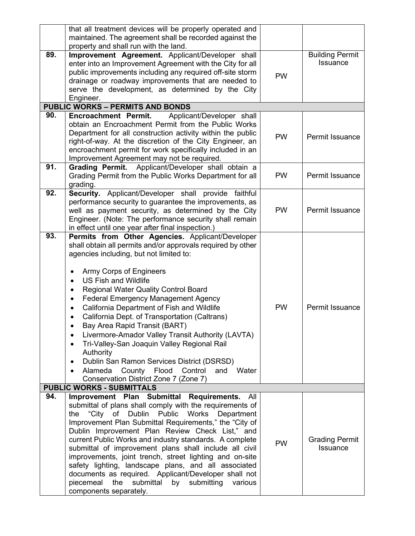|     | that all treatment devices will be properly operated and<br>maintained. The agreement shall be recorded against the<br>property and shall run with the land.                                                                                                                                                                                                                                                                                                                                                                                                                                                                                                                                                                      |           |                                           |
|-----|-----------------------------------------------------------------------------------------------------------------------------------------------------------------------------------------------------------------------------------------------------------------------------------------------------------------------------------------------------------------------------------------------------------------------------------------------------------------------------------------------------------------------------------------------------------------------------------------------------------------------------------------------------------------------------------------------------------------------------------|-----------|-------------------------------------------|
| 89. | Improvement Agreement. Applicant/Developer shall<br>enter into an Improvement Agreement with the City for all<br>public improvements including any required off-site storm<br>drainage or roadway improvements that are needed to<br>serve the development, as determined by the City<br>Engineer.                                                                                                                                                                                                                                                                                                                                                                                                                                | <b>PW</b> | <b>Building Permit</b><br><b>Issuance</b> |
|     | <b>PUBLIC WORKS - PERMITS AND BONDS</b>                                                                                                                                                                                                                                                                                                                                                                                                                                                                                                                                                                                                                                                                                           |           |                                           |
| 90. | <b>Encroachment Permit.</b><br>Applicant/Developer shall<br>obtain an Encroachment Permit from the Public Works<br>Department for all construction activity within the public<br>right-of-way. At the discretion of the City Engineer, an<br>encroachment permit for work specifically included in an<br>Improvement Agreement may not be required.                                                                                                                                                                                                                                                                                                                                                                               | <b>PW</b> | Permit Issuance                           |
| 91. | Applicant/Developer shall obtain a<br><b>Grading Permit.</b><br>Grading Permit from the Public Works Department for all<br>grading.                                                                                                                                                                                                                                                                                                                                                                                                                                                                                                                                                                                               | <b>PW</b> | Permit Issuance                           |
| 92. | Security. Applicant/Developer shall provide faithful<br>performance security to guarantee the improvements, as<br>well as payment security, as determined by the City<br>Engineer. (Note: The performance security shall remain<br>in effect until one year after final inspection.)                                                                                                                                                                                                                                                                                                                                                                                                                                              | <b>PW</b> | Permit Issuance                           |
| 93. | Permits from Other Agencies. Applicant/Developer<br>shall obtain all permits and/or approvals required by other<br>agencies including, but not limited to:<br>Army Corps of Engineers<br><b>US Fish and Wildlife</b><br><b>Regional Water Quality Control Board</b><br>$\bullet$<br><b>Federal Emergency Management Agency</b><br>California Department of Fish and Wildlife<br>California Dept. of Transportation (Caltrans)<br>Bay Area Rapid Transit (BART)<br>Livermore-Amador Valley Transit Authority (LAVTA)<br>٠<br>Tri-Valley-San Joaquin Valley Regional Rail<br>Authority<br>Dublin San Ramon Services District (DSRSD)<br>Alameda<br>County Flood<br>Control<br>Water<br>and<br>Conservation District Zone 7 (Zone 7) | <b>PW</b> | Permit Issuance                           |
|     | <b>PUBLIC WORKS - SUBMITTALS</b>                                                                                                                                                                                                                                                                                                                                                                                                                                                                                                                                                                                                                                                                                                  |           |                                           |
| 94. | Improvement Plan Submittal Requirements.<br>All<br>submittal of plans shall comply with the requirements of<br>"City of Dublin Public<br>Works<br>Department<br>the<br>Improvement Plan Submittal Requirements," the "City of<br>Dublin Improvement Plan Review Check List," and<br>current Public Works and industry standards. A complete<br>submittal of improvement plans shall include all civil<br>improvements, joint trench, street lighting and on-site<br>safety lighting, landscape plans, and all associated<br>documents as required. Applicant/Developer shall not<br>submittal<br>piecemeal<br>the<br>by<br>submitting<br>various<br>components separately.                                                        | <b>PW</b> | <b>Grading Permit</b><br><b>Issuance</b>  |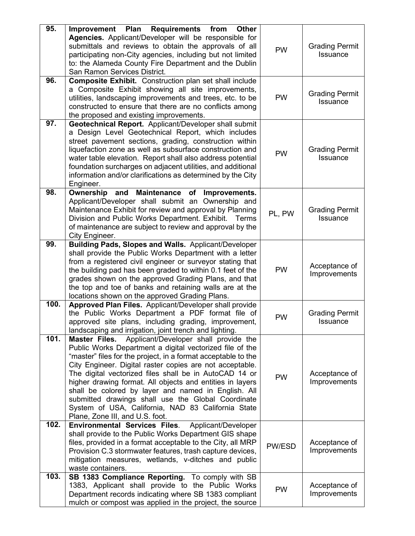| 95.  | Improvement<br>Plan<br><b>Requirements</b><br><b>Other</b><br>from<br>Agencies. Applicant/Developer will be responsible for<br>submittals and reviews to obtain the approvals of all<br>participating non-City agencies, including but not limited<br>to: the Alameda County Fire Department and the Dublin<br>San Ramon Services District.                                                                                                                                                                                                                                  | <b>PW</b> | <b>Grading Permit</b><br>Issuance        |
|------|------------------------------------------------------------------------------------------------------------------------------------------------------------------------------------------------------------------------------------------------------------------------------------------------------------------------------------------------------------------------------------------------------------------------------------------------------------------------------------------------------------------------------------------------------------------------------|-----------|------------------------------------------|
| 96.  | <b>Composite Exhibit.</b> Construction plan set shall include<br>a Composite Exhibit showing all site improvements,<br>utilities, landscaping improvements and trees, etc. to be<br>constructed to ensure that there are no conflicts among<br>the proposed and existing improvements.                                                                                                                                                                                                                                                                                       | <b>PW</b> | <b>Grading Permit</b><br>Issuance        |
| 97.  | Geotechnical Report. Applicant/Developer shall submit<br>a Design Level Geotechnical Report, which includes<br>street pavement sections, grading, construction within<br>liquefaction zone as well as subsurface construction and<br>water table elevation. Report shall also address potential<br>foundation surcharges on adjacent utilities, and additional<br>information and/or clarifications as determined by the City<br>Engineer.                                                                                                                                   | <b>PW</b> | <b>Grading Permit</b><br>Issuance        |
| 98.  | Ownership and Maintenance of Improvements.<br>Applicant/Developer shall submit an Ownership and<br>Maintenance Exhibit for review and approval by Planning<br>Division and Public Works Department. Exhibit.<br>Terms<br>of maintenance are subject to review and approval by the<br>City Engineer.                                                                                                                                                                                                                                                                          | PL, PW    | <b>Grading Permit</b><br><b>Issuance</b> |
| 99.  | Building Pads, Slopes and Walls. Applicant/Developer<br>shall provide the Public Works Department with a letter<br>from a registered civil engineer or surveyor stating that<br>the building pad has been graded to within 0.1 feet of the<br>grades shown on the approved Grading Plans, and that<br>the top and toe of banks and retaining walls are at the<br>locations shown on the approved Grading Plans.                                                                                                                                                              | <b>PW</b> | Acceptance of<br>Improvements            |
| 100. | Approved Plan Files. Applicant/Developer shall provide<br>the Public Works Department a PDF format file of<br>approved site plans, including grading, improvement,<br>landscaping and irrigation, joint trench and lighting.                                                                                                                                                                                                                                                                                                                                                 | <b>PW</b> | <b>Grading Permit</b><br><b>Issuance</b> |
| 101. | Applicant/Developer shall provide the<br>Master Files.<br>Public Works Department a digital vectorized file of the<br>"master" files for the project, in a format acceptable to the<br>City Engineer. Digital raster copies are not acceptable.<br>The digital vectorized files shall be in AutoCAD 14 or<br>higher drawing format. All objects and entities in layers<br>shall be colored by layer and named in English. All<br>submitted drawings shall use the Global Coordinate<br>System of USA, California, NAD 83 California State<br>Plane, Zone III, and U.S. foot. | <b>PW</b> | Acceptance of<br>Improvements            |
| 102. | Applicant/Developer<br><b>Environmental Services Files.</b><br>shall provide to the Public Works Department GIS shape<br>files, provided in a format acceptable to the City, all MRP<br>Provision C.3 stormwater features, trash capture devices,<br>mitigation measures, wetlands, v-ditches and public<br>waste containers.                                                                                                                                                                                                                                                | PW/ESD    | Acceptance of<br>Improvements            |
| 103. | SB 1383 Compliance Reporting. To comply with SB<br>1383, Applicant shall provide to the Public Works<br>Department records indicating where SB 1383 compliant<br>mulch or compost was applied in the project, the source                                                                                                                                                                                                                                                                                                                                                     | <b>PW</b> | Acceptance of<br>Improvements            |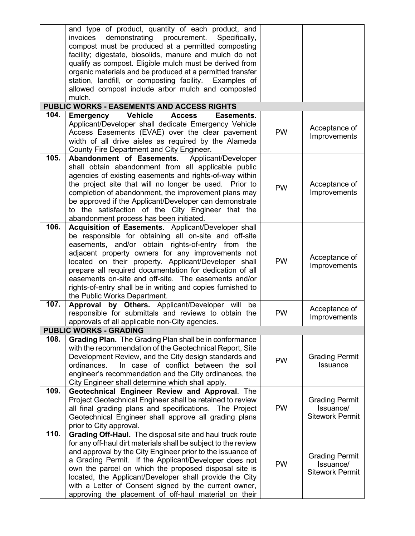|      | and type of product, quantity of each product, and<br>demonstrating procurement. Specifically,<br>invoices<br>compost must be produced at a permitted composting<br>facility; digestate, biosolids, manure and mulch do not<br>qualify as compost. Eligible mulch must be derived from<br>organic materials and be produced at a permitted transfer<br>station, landfill, or composting facility. Examples of<br>allowed compost include arbor mulch and composted<br>mulch.<br>PUBLIC WORKS - EASEMENTS AND ACCESS RIGHTS |           |                                                              |
|------|----------------------------------------------------------------------------------------------------------------------------------------------------------------------------------------------------------------------------------------------------------------------------------------------------------------------------------------------------------------------------------------------------------------------------------------------------------------------------------------------------------------------------|-----------|--------------------------------------------------------------|
| 104. | <b>Vehicle</b><br><b>Access</b><br>Easements.                                                                                                                                                                                                                                                                                                                                                                                                                                                                              |           |                                                              |
|      | <b>Emergency</b><br>Applicant/Developer shall dedicate Emergency Vehicle<br>Access Easements (EVAE) over the clear pavement<br>width of all drive aisles as required by the Alameda<br>County Fire Department and City Engineer.                                                                                                                                                                                                                                                                                           | <b>PW</b> | Acceptance of<br>Improvements                                |
| 105. | Abandonment of Easements.<br>Applicant/Developer<br>shall obtain abandonment from all applicable public<br>agencies of existing easements and rights-of-way within<br>the project site that will no longer be used. Prior to<br>completion of abandonment, the improvement plans may<br>be approved if the Applicant/Developer can demonstrate<br>to the satisfaction of the City Engineer that the<br>abandonment process has been initiated.                                                                             | <b>PW</b> | Acceptance of<br>Improvements                                |
| 106. | Acquisition of Easements. Applicant/Developer shall<br>be responsible for obtaining all on-site and off-site<br>easements, and/or obtain rights-of-entry from the<br>adjacent property owners for any improvements not<br>located on their property. Applicant/Developer shall<br>prepare all required documentation for dedication of all<br>easements on-site and off-site. The easements and/or<br>rights-of-entry shall be in writing and copies furnished to<br>the Public Works Department.                          | <b>PW</b> | Acceptance of<br>Improvements                                |
| 107. | Approval by Others. Applicant/Developer will be<br>responsible for submittals and reviews to obtain the<br>approvals of all applicable non-City agencies.                                                                                                                                                                                                                                                                                                                                                                  | <b>PW</b> | Acceptance of<br>Improvements                                |
|      | <b>PUBLIC WORKS - GRADING</b>                                                                                                                                                                                                                                                                                                                                                                                                                                                                                              |           |                                                              |
| 108. | Grading Plan. The Grading Plan shall be in conformance<br>with the recommendation of the Geotechnical Report, Site<br>Development Review, and the City design standards and<br>In case of conflict between the soil<br>ordinances.<br>engineer's recommendation and the City ordinances, the<br>City Engineer shall determine which shall apply.                                                                                                                                                                           | <b>PW</b> | <b>Grading Permit</b><br>Issuance                            |
| 109. | Geotechnical Engineer Review and Approval. The<br>Project Geotechnical Engineer shall be retained to review<br>all final grading plans and specifications. The Project<br>Geotechnical Engineer shall approve all grading plans<br>prior to City approval.                                                                                                                                                                                                                                                                 | <b>PW</b> | <b>Grading Permit</b><br>Issuance/<br><b>Sitework Permit</b> |
| 110. | Grading Off-Haul. The disposal site and haul truck route<br>for any off-haul dirt materials shall be subject to the review<br>and approval by the City Engineer prior to the issuance of<br>a Grading Permit. If the Applicant/Developer does not<br>own the parcel on which the proposed disposal site is<br>located, the Applicant/Developer shall provide the City<br>with a Letter of Consent signed by the current owner,<br>approving the placement of off-haul material on their                                    | PW        | <b>Grading Permit</b><br>Issuance/<br><b>Sitework Permit</b> |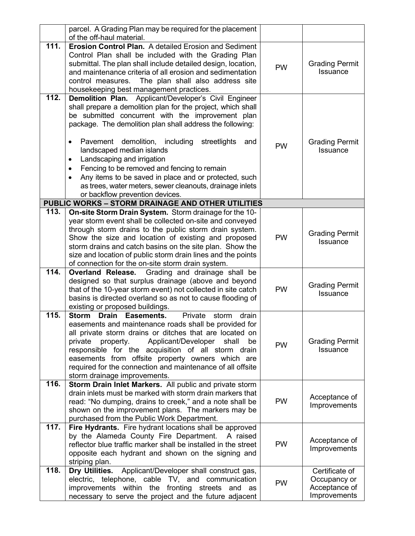|      | parcel. A Grading Plan may be required for the placement                                                                   |           |                                          |
|------|----------------------------------------------------------------------------------------------------------------------------|-----------|------------------------------------------|
|      | of the off-haul material.                                                                                                  |           |                                          |
| 111. | <b>Erosion Control Plan.</b> A detailed Erosion and Sediment                                                               |           |                                          |
|      | Control Plan shall be included with the Grading Plan                                                                       |           |                                          |
|      | submittal. The plan shall include detailed design, location,<br>and maintenance criteria of all erosion and sedimentation  | <b>PW</b> | <b>Grading Permit</b><br><b>Issuance</b> |
|      |                                                                                                                            |           |                                          |
|      | The plan shall also address site<br>control measures.                                                                      |           |                                          |
| 112. | housekeeping best management practices.<br>Applicant/Developer's Civil Engineer<br><b>Demolition Plan.</b>                 |           |                                          |
|      | shall prepare a demolition plan for the project, which shall                                                               |           |                                          |
|      | be submitted concurrent with the improvement plan                                                                          |           |                                          |
|      | package. The demolition plan shall address the following:                                                                  |           |                                          |
|      |                                                                                                                            |           |                                          |
|      | Pavement demolition,<br>including<br>streetlights<br>and<br>$\bullet$                                                      |           | <b>Grading Permit</b>                    |
|      | landscaped median islands                                                                                                  | <b>PW</b> | Issuance                                 |
|      | Landscaping and irrigation<br>٠                                                                                            |           |                                          |
|      | Fencing to be removed and fencing to remain<br>$\bullet$                                                                   |           |                                          |
|      | Any items to be saved in place and or protected, such<br>$\bullet$                                                         |           |                                          |
|      | as trees, water meters, sewer cleanouts, drainage inlets                                                                   |           |                                          |
|      | or backflow prevention devices.                                                                                            |           |                                          |
|      | <b>PUBLIC WORKS - STORM DRAINAGE AND OTHER UTILITIES</b>                                                                   |           |                                          |
| 113. | On-site Storm Drain System. Storm drainage for the 10-                                                                     |           |                                          |
|      | year storm event shall be collected on-site and conveyed                                                                   |           |                                          |
|      | through storm drains to the public storm drain system.                                                                     |           | <b>Grading Permit</b>                    |
|      | Show the size and location of existing and proposed                                                                        | <b>PW</b> | <b>Issuance</b>                          |
|      | storm drains and catch basins on the site plan. Show the                                                                   |           |                                          |
|      | size and location of public storm drain lines and the points                                                               |           |                                          |
|      | of connection for the on-site storm drain system.                                                                          |           |                                          |
| 114. | Grading and drainage shall be<br><b>Overland Release.</b>                                                                  |           |                                          |
|      | designed so that surplus drainage (above and beyond                                                                        | <b>PW</b> | <b>Grading Permit</b>                    |
|      | that of the 10-year storm event) not collected in site catch<br>basins is directed overland so as not to cause flooding of |           | Issuance                                 |
|      | existing or proposed buildings.                                                                                            |           |                                          |
| 115. | <b>Drain</b><br>Private<br><b>Storm</b><br>Easements.<br>drain<br>storm                                                    |           |                                          |
|      | easements and maintenance roads shall be provided for                                                                      |           |                                          |
|      | all private storm drains or ditches that are located on                                                                    |           |                                          |
|      | Applicant/Developer shall<br>private<br>property.<br>be                                                                    |           | <b>Grading Permit</b>                    |
|      | responsible for the acquisition of all storm drain                                                                         | <b>PW</b> | Issuance                                 |
|      | easements from offsite property owners which are                                                                           |           |                                          |
|      | required for the connection and maintenance of all offsite                                                                 |           |                                          |
|      | storm drainage improvements.                                                                                               |           |                                          |
| 116. | Storm Drain Inlet Markers. All public and private storm                                                                    |           |                                          |
|      | drain inlets must be marked with storm drain markers that                                                                  |           | Acceptance of                            |
|      | read: "No dumping, drains to creek," and a note shall be                                                                   | <b>PW</b> | Improvements                             |
|      | shown on the improvement plans. The markers may be                                                                         |           |                                          |
|      | purchased from the Public Work Department.                                                                                 |           |                                          |
| 117. | Fire Hydrants. Fire hydrant locations shall be approved                                                                    |           |                                          |
|      | by the Alameda County Fire Department.<br>A raised                                                                         |           | Acceptance of                            |
|      | reflector blue traffic marker shall be installed in the street                                                             | <b>PW</b> | Improvements                             |
|      | opposite each hydrant and shown on the signing and                                                                         |           |                                          |
| 118. | striping plan.<br>Applicant/Developer shall construct gas,<br>Dry Utilities.                                               |           |                                          |
|      | electric, telephone, cable TV, and communication                                                                           |           | Certificate of<br>Occupancy or           |
|      | improvements within the fronting streets and as                                                                            | <b>PW</b> | Acceptance of                            |
|      | necessary to serve the project and the future adjacent                                                                     |           | Improvements                             |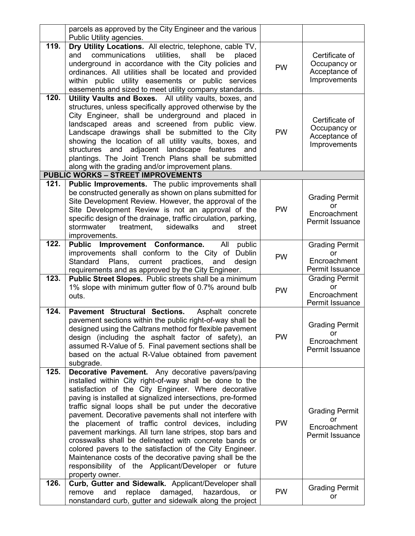|      | parcels as approved by the City Engineer and the various<br>Public Utility agencies.                                                                                                                                                                                                                                                                                                                                                                                                                                                                                                                                                                                                                                                |           |                                                                 |
|------|-------------------------------------------------------------------------------------------------------------------------------------------------------------------------------------------------------------------------------------------------------------------------------------------------------------------------------------------------------------------------------------------------------------------------------------------------------------------------------------------------------------------------------------------------------------------------------------------------------------------------------------------------------------------------------------------------------------------------------------|-----------|-----------------------------------------------------------------|
| 119. | Dry Utility Locations. All electric, telephone, cable TV,<br>communications<br>utilities,<br>shall<br>be<br>and<br>placed<br>underground in accordance with the City policies and<br>ordinances. All utilities shall be located and provided<br>within public utility easements or public services<br>easements and sized to meet utility company standards.                                                                                                                                                                                                                                                                                                                                                                        | <b>PW</b> | Certificate of<br>Occupancy or<br>Acceptance of<br>Improvements |
| 120. | Utility Vaults and Boxes. All utility vaults, boxes, and<br>structures, unless specifically approved otherwise by the<br>City Engineer, shall be underground and placed in<br>landscaped areas and screened from public view.<br>Landscape drawings shall be submitted to the City<br>showing the location of all utility vaults, boxes, and<br>structures and adjacent landscape features<br>and<br>plantings. The Joint Trench Plans shall be submitted<br>along with the grading and/or improvement plans.                                                                                                                                                                                                                       | <b>PW</b> | Certificate of<br>Occupancy or<br>Acceptance of<br>Improvements |
|      | <b>PUBLIC WORKS - STREET IMPROVEMENTS</b>                                                                                                                                                                                                                                                                                                                                                                                                                                                                                                                                                                                                                                                                                           |           |                                                                 |
| 121. | Public Improvements. The public improvements shall<br>be constructed generally as shown on plans submitted for<br>Site Development Review. However, the approval of the<br>Site Development Review is not an approval of the<br>specific design of the drainage, traffic circulation, parking,<br>stormwater<br>treatment,<br>sidewalks<br>street<br>and<br>improvements.                                                                                                                                                                                                                                                                                                                                                           | <b>PW</b> | <b>Grading Permit</b><br>or<br>Encroachment<br>Permit Issuance  |
| 122. | Improvement Conformance.<br><b>Public</b><br>All<br>public<br>improvements shall conform to the City of Dublin<br>Standard<br>Plans,<br>current practices,<br>and<br>design<br>requirements and as approved by the City Engineer.                                                                                                                                                                                                                                                                                                                                                                                                                                                                                                   | <b>PW</b> | <b>Grading Permit</b><br>or<br>Encroachment<br>Permit Issuance  |
| 123. | Public Street Slopes. Public streets shall be a minimum<br>1% slope with minimum gutter flow of 0.7% around bulb<br>outs.                                                                                                                                                                                                                                                                                                                                                                                                                                                                                                                                                                                                           | <b>PW</b> | <b>Grading Permit</b><br>or<br>Encroachment<br>Permit Issuance  |
| 124. | Pavement Structural Sections.<br>Asphalt concrete<br>pavement sections within the public right-of-way shall be<br>designed using the Caltrans method for flexible pavement<br>design (including the asphalt factor of safety), an<br>assumed R-Value of 5. Final pavement sections shall be<br>based on the actual R-Value obtained from pavement<br>subgrade.                                                                                                                                                                                                                                                                                                                                                                      | <b>PW</b> | <b>Grading Permit</b><br>or<br>Encroachment<br>Permit Issuance  |
| 125. | Decorative Pavement. Any decorative pavers/paving<br>installed within City right-of-way shall be done to the<br>satisfaction of the City Engineer. Where decorative<br>paving is installed at signalized intersections, pre-formed<br>traffic signal loops shall be put under the decorative<br>pavement. Decorative pavements shall not interfere with<br>the placement of traffic control devices, including<br>pavement markings. All turn lane stripes, stop bars and<br>crosswalks shall be delineated with concrete bands or<br>colored pavers to the satisfaction of the City Engineer.<br>Maintenance costs of the decorative paving shall be the<br>responsibility of the Applicant/Developer or future<br>property owner. | <b>PW</b> | <b>Grading Permit</b><br>or<br>Encroachment<br>Permit Issuance  |
| 126. | Curb, Gutter and Sidewalk. Applicant/Developer shall<br>damaged,<br>replace<br>hazardous,<br>remove<br>and<br><b>or</b><br>nonstandard curb, gutter and sidewalk along the project                                                                                                                                                                                                                                                                                                                                                                                                                                                                                                                                                  | <b>PW</b> | <b>Grading Permit</b><br>or                                     |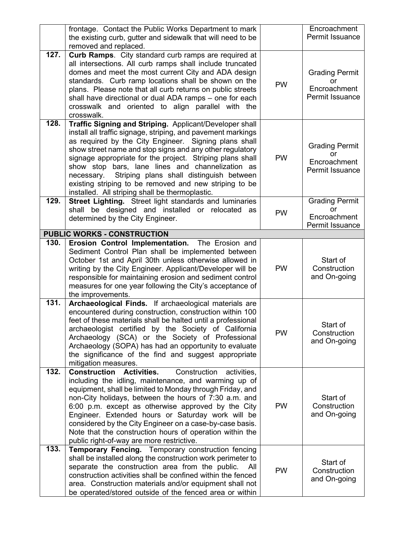|      | frontage. Contact the Public Works Department to mark<br>the existing curb, gutter and sidewalk that will need to be<br>removed and replaced.                                                                                                                                                                                                                                                                                                                                                                                        |           | Encroachment<br>Permit Issuance                                |
|------|--------------------------------------------------------------------------------------------------------------------------------------------------------------------------------------------------------------------------------------------------------------------------------------------------------------------------------------------------------------------------------------------------------------------------------------------------------------------------------------------------------------------------------------|-----------|----------------------------------------------------------------|
| 127. | Curb Ramps. City standard curb ramps are required at<br>all intersections. All curb ramps shall include truncated<br>domes and meet the most current City and ADA design<br>standards. Curb ramp locations shall be shown on the<br>plans. Please note that all curb returns on public streets<br>shall have directional or dual ADA ramps - one for each<br>crosswalk and oriented to align parallel with the<br>crosswalk.                                                                                                         | PW        | <b>Grading Permit</b><br>or<br>Encroachment<br>Permit Issuance |
| 128. | Traffic Signing and Striping. Applicant/Developer shall<br>install all traffic signage, striping, and pavement markings<br>as required by the City Engineer. Signing plans shall<br>show street name and stop signs and any other regulatory<br>signage appropriate for the project. Striping plans shall<br>show stop bars, lane lines and channelization as<br>Striping plans shall distinguish between<br>necessary.<br>existing striping to be removed and new striping to be<br>installed. All striping shall be thermoplastic. | <b>PW</b> | <b>Grading Permit</b><br>or<br>Encroachment<br>Permit Issuance |
| 129. | Street Lighting. Street light standards and luminaries<br>shall be designed and installed or relocated as<br>determined by the City Engineer.                                                                                                                                                                                                                                                                                                                                                                                        | <b>PW</b> | <b>Grading Permit</b><br>or<br>Encroachment<br>Permit Issuance |
|      | <b>PUBLIC WORKS - CONSTRUCTION</b>                                                                                                                                                                                                                                                                                                                                                                                                                                                                                                   |           |                                                                |
| 130. | Erosion Control Implementation. The Erosion and<br>Sediment Control Plan shall be implemented between<br>October 1st and April 30th unless otherwise allowed in<br>writing by the City Engineer. Applicant/Developer will be<br>responsible for maintaining erosion and sediment control<br>measures for one year following the City's acceptance of<br>the improvements.                                                                                                                                                            | <b>PW</b> | Start of<br>Construction<br>and On-going                       |
| 131. | Archaeological Finds. If archaeological materials are<br>encountered during construction, construction within 100<br>feet of these materials shall be halted until a professional<br>archaeologist certified by the Society of California<br>Archaeology (SCA) or the Society of Professional<br>Archaeology (SOPA) has had an opportunity to evaluate<br>the significance of the find and suggest appropriate<br>mitigation measures.                                                                                               | PW        | Start of<br>Construction<br>and On-going                       |
| 132. | <b>Construction Activities.</b><br>Construction<br>activities,<br>including the idling, maintenance, and warming up of<br>equipment, shall be limited to Monday through Friday, and<br>non-City holidays, between the hours of 7:30 a.m. and<br>6:00 p.m. except as otherwise approved by the City<br>Engineer. Extended hours or Saturday work will be<br>considered by the City Engineer on a case-by-case basis.<br>Note that the construction hours of operation within the<br>public right-of-way are more restrictive.         | PW        | Start of<br>Construction<br>and On-going                       |
| 133. | Temporary Fencing. Temporary construction fencing<br>shall be installed along the construction work perimeter to<br>separate the construction area from the public.<br>All<br>construction activities shall be confined within the fenced<br>area. Construction materials and/or equipment shall not<br>be operated/stored outside of the fenced area or within                                                                                                                                                                      | PW        | Start of<br>Construction<br>and On-going                       |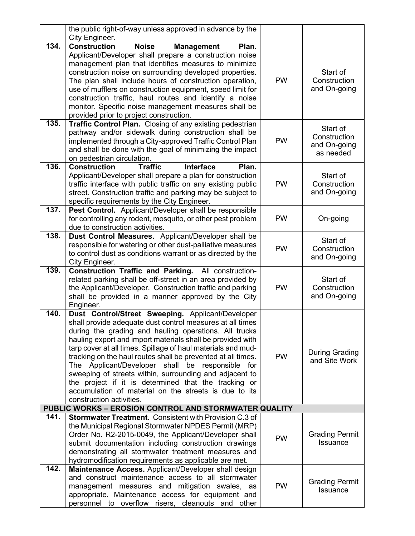|      | the public right-of-way unless approved in advance by the<br>City Engineer.                                                                                                                                                                                                                                                                                                                                                                                                                                                                                                                                                       |           |                                                       |
|------|-----------------------------------------------------------------------------------------------------------------------------------------------------------------------------------------------------------------------------------------------------------------------------------------------------------------------------------------------------------------------------------------------------------------------------------------------------------------------------------------------------------------------------------------------------------------------------------------------------------------------------------|-----------|-------------------------------------------------------|
| 134. | <b>Construction</b><br><b>Noise</b><br><b>Management</b><br>Plan.<br>Applicant/Developer shall prepare a construction noise<br>management plan that identifies measures to minimize<br>construction noise on surrounding developed properties.<br>The plan shall include hours of construction operation,<br>use of mufflers on construction equipment, speed limit for<br>construction traffic, haul routes and identify a noise<br>monitor. Specific noise management measures shall be                                                                                                                                         | <b>PW</b> | Start of<br>Construction<br>and On-going              |
| 135. | provided prior to project construction.<br>Traffic Control Plan. Closing of any existing pedestrian<br>pathway and/or sidewalk during construction shall be<br>implemented through a City-approved Traffic Control Plan<br>and shall be done with the goal of minimizing the impact<br>on pedestrian circulation.                                                                                                                                                                                                                                                                                                                 | <b>PW</b> | Start of<br>Construction<br>and On-going<br>as needed |
| 136. | <b>Construction</b><br><b>Traffic</b><br>Plan.<br><b>Interface</b><br>Applicant/Developer shall prepare a plan for construction<br>traffic interface with public traffic on any existing public<br>street. Construction traffic and parking may be subject to<br>specific requirements by the City Engineer.                                                                                                                                                                                                                                                                                                                      | <b>PW</b> | Start of<br>Construction<br>and On-going              |
| 137. | Pest Control. Applicant/Developer shall be responsible<br>for controlling any rodent, mosquito, or other pest problem<br>due to construction activities.                                                                                                                                                                                                                                                                                                                                                                                                                                                                          | <b>PW</b> | On-going                                              |
| 138. | Dust Control Measures. Applicant/Developer shall be<br>responsible for watering or other dust-palliative measures<br>to control dust as conditions warrant or as directed by the<br>City Engineer.                                                                                                                                                                                                                                                                                                                                                                                                                                | <b>PW</b> | Start of<br>Construction<br>and On-going              |
| 139. | Construction Traffic and Parking. All construction-<br>related parking shall be off-street in an area provided by<br>the Applicant/Developer. Construction traffic and parking<br>shall be provided in a manner approved by the City<br>Engineer.                                                                                                                                                                                                                                                                                                                                                                                 | <b>PW</b> | Start of<br>Construction<br>and On-going              |
| 140. | Dust Control/Street Sweeping. Applicant/Developer<br>shall provide adequate dust control measures at all times<br>during the grading and hauling operations. All trucks<br>hauling export and import materials shall be provided with<br>tarp cover at all times. Spillage of haul materials and mud-<br>tracking on the haul routes shall be prevented at all times.<br>The Applicant/Developer shall be responsible for<br>sweeping of streets within, surrounding and adjacent to<br>the project if it is determined that the tracking or<br>accumulation of material on the streets is due to its<br>construction activities. | <b>PW</b> | During Grading<br>and Site Work                       |
|      | PUBLIC WORKS - EROSION CONTROL AND STORMWATER QUALITY                                                                                                                                                                                                                                                                                                                                                                                                                                                                                                                                                                             |           |                                                       |
| 141. | <b>Stormwater Treatment.</b> Consistent with Provision C.3 of<br>the Municipal Regional Stormwater NPDES Permit (MRP)<br>Order No. R2-2015-0049, the Applicant/Developer shall<br>submit documentation including construction drawings<br>demonstrating all stormwater treatment measures and<br>hydromodification requirements as applicable are met.                                                                                                                                                                                                                                                                            | <b>PW</b> | <b>Grading Permit</b><br><b>Issuance</b>              |
| 142. | Maintenance Access. Applicant/Developer shall design<br>and construct maintenance access to all stormwater<br>management measures and mitigation swales, as<br>appropriate. Maintenance access for equipment and<br>personnel to overflow risers, cleanouts and other                                                                                                                                                                                                                                                                                                                                                             | <b>PW</b> | <b>Grading Permit</b><br>Issuance                     |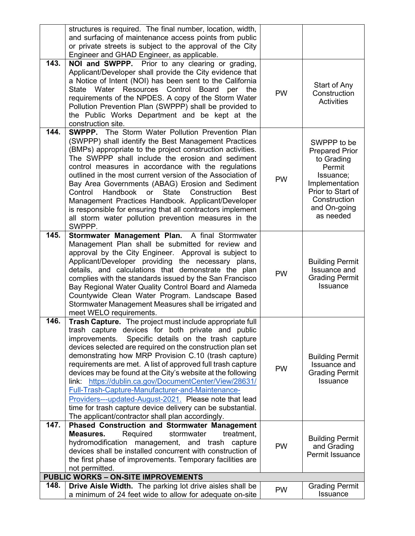|      | structures is required. The final number, location, width,<br>and surfacing of maintenance access points from public<br>or private streets is subject to the approval of the City<br>Engineer and GHAD Engineer, as applicable.                                                                                                                                                                                                                                                                                                                                                                                                                                                                                          |           |                                                                                                                                                               |
|------|--------------------------------------------------------------------------------------------------------------------------------------------------------------------------------------------------------------------------------------------------------------------------------------------------------------------------------------------------------------------------------------------------------------------------------------------------------------------------------------------------------------------------------------------------------------------------------------------------------------------------------------------------------------------------------------------------------------------------|-----------|---------------------------------------------------------------------------------------------------------------------------------------------------------------|
| 143. | NOI and SWPPP. Prior to any clearing or grading,<br>Applicant/Developer shall provide the City evidence that<br>a Notice of Intent (NOI) has been sent to the California<br>Resources<br>Control<br>Board per<br>State<br>Water<br>the<br>requirements of the NPDES. A copy of the Storm Water<br>Pollution Prevention Plan (SWPPP) shall be provided to<br>the Public Works Department and be kept at the<br>construction site.                                                                                                                                                                                                                                                                                         | <b>PW</b> | Start of Any<br>Construction<br><b>Activities</b>                                                                                                             |
| 144. | <b>SWPPP.</b> The Storm Water Pollution Prevention Plan<br>(SWPPP) shall identify the Best Management Practices<br>(BMPs) appropriate to the project construction activities.<br>The SWPPP shall include the erosion and sediment<br>control measures in accordance with the regulations<br>outlined in the most current version of the Association of<br>Bay Area Governments (ABAG) Erosion and Sediment<br>Handbook<br><b>State</b><br>Control<br>or<br>Construction<br><b>Best</b><br>Management Practices Handbook. Applicant/Developer<br>is responsible for ensuring that all contractors implement<br>all storm water pollution prevention measures in the<br>SWPPP.                                             | <b>PW</b> | SWPPP to be<br><b>Prepared Prior</b><br>to Grading<br>Permit<br>Issuance;<br>Implementation<br>Prior to Start of<br>Construction<br>and On-going<br>as needed |
| 145. | Stormwater Management Plan. A final Stormwater<br>Management Plan shall be submitted for review and<br>approval by the City Engineer. Approval is subject to<br>Applicant/Developer providing the necessary plans,<br>details, and calculations that demonstrate the plan<br>complies with the standards issued by the San Francisco<br>Bay Regional Water Quality Control Board and Alameda<br>Countywide Clean Water Program. Landscape Based<br>Stormwater Management Measures shall be irrigated and<br>meet WELO requirements.                                                                                                                                                                                      | PW        | <b>Building Permit</b><br><b>Issuance and</b><br><b>Grading Permit</b><br>Issuance                                                                            |
| 146. | Trash Capture. The project must include appropriate full<br>trash capture devices for both private and public<br>Specific details on the trash capture<br>improvements.<br>devices selected are required on the construction plan set<br>demonstrating how MRP Provision C.10 (trash capture)<br>requirements are met. A list of approved full trash capture<br>devices may be found at the City's website at the following<br>https://dublin.ca.gov/DocumentCenter/View/28631/<br>link:<br>Full-Trash-Capture-Manufacturer-and-Maintenance-<br>Providers---updated-August-2021. Please note that lead<br>time for trash capture device delivery can be substantial.<br>The applicant/contractor shall plan accordingly. | <b>PW</b> | <b>Building Permit</b><br><b>Issuance and</b><br><b>Grading Permit</b><br>Issuance                                                                            |
| 147. | <b>Phased Construction and Stormwater Management</b><br>Required<br>stormwater<br>treatment,<br>Measures.<br>hydromodification management, and trash<br>capture<br>devices shall be installed concurrent with construction of<br>the first phase of improvements. Temporary facilities are<br>not permitted.                                                                                                                                                                                                                                                                                                                                                                                                             | PW        | <b>Building Permit</b><br>and Grading<br>Permit Issuance                                                                                                      |
|      | <b>PUBLIC WORKS - ON-SITE IMPROVEMENTS</b>                                                                                                                                                                                                                                                                                                                                                                                                                                                                                                                                                                                                                                                                               |           |                                                                                                                                                               |
| 148. | <b>Drive Aisle Width.</b> The parking lot drive aisles shall be<br>a minimum of 24 feet wide to allow for adequate on-site                                                                                                                                                                                                                                                                                                                                                                                                                                                                                                                                                                                               | <b>PW</b> | <b>Grading Permit</b><br>Issuance                                                                                                                             |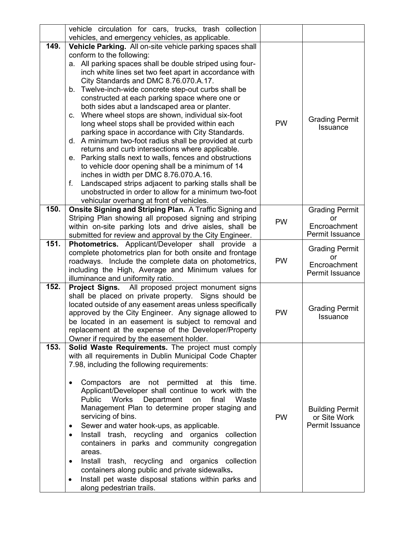|      | vehicle circulation for cars, trucks, trash collection                                         |           |                             |
|------|------------------------------------------------------------------------------------------------|-----------|-----------------------------|
|      | vehicles, and emergency vehicles, as applicable.                                               |           |                             |
| 149. | Vehicle Parking. All on-site vehicle parking spaces shall                                      |           |                             |
|      | conform to the following:                                                                      |           |                             |
|      | a. All parking spaces shall be double striped using four-                                      |           |                             |
|      | inch white lines set two feet apart in accordance with                                         |           |                             |
|      | City Standards and DMC 8.76.070.A.17.                                                          |           |                             |
|      | b. Twelve-inch-wide concrete step-out curbs shall be                                           |           |                             |
|      | constructed at each parking space where one or                                                 |           |                             |
|      | both sides abut a landscaped area or planter.                                                  |           |                             |
|      | c. Where wheel stops are shown, individual six-foot                                            | <b>PW</b> | <b>Grading Permit</b>       |
|      | long wheel stops shall be provided within each                                                 |           | <b>Issuance</b>             |
|      | parking space in accordance with City Standards.                                               |           |                             |
|      | d. A minimum two-foot radius shall be provided at curb                                         |           |                             |
|      | returns and curb intersections where applicable.                                               |           |                             |
|      | e. Parking stalls next to walls, fences and obstructions                                       |           |                             |
|      | to vehicle door opening shall be a minimum of 14<br>inches in width per DMC 8.76.070.A.16.     |           |                             |
|      | f.<br>Landscaped strips adjacent to parking stalls shall be                                    |           |                             |
|      | unobstructed in order to allow for a minimum two-foot                                          |           |                             |
|      | vehicular overhang at front of vehicles.                                                       |           |                             |
| 150. | Onsite Signing and Striping Plan. A Traffic Signing and                                        |           | <b>Grading Permit</b>       |
|      | Striping Plan showing all proposed signing and striping                                        |           | or                          |
|      | within on-site parking lots and drive aisles, shall be                                         | <b>PW</b> | Encroachment                |
|      | submitted for review and approval by the City Engineer.                                        |           | Permit Issuance             |
| 151. | Photometrics. Applicant/Developer shall provide a                                              |           |                             |
|      | complete photometrics plan for both onsite and frontage                                        |           | <b>Grading Permit</b><br>or |
|      | roadways. Include the complete data on photometrics,                                           | <b>PW</b> | Encroachment                |
|      | including the High, Average and Minimum values for                                             |           | Permit Issuance             |
|      | illuminance and uniformity ratio.                                                              |           |                             |
| 152. | Project Signs. All proposed project monument signs                                             |           |                             |
|      | shall be placed on private property. Signs should be                                           |           |                             |
|      | located outside of any easement areas unless specifically                                      |           | <b>Grading Permit</b>       |
|      | approved by the City Engineer. Any signage allowed to                                          | <b>PW</b> | <b>Issuance</b>             |
|      | be located in an easement is subject to removal and                                            |           |                             |
|      | replacement at the expense of the Developer/Property                                           |           |                             |
| 153. | Owner if required by the easement holder.<br>Solid Waste Requirements. The project must comply |           |                             |
|      | with all requirements in Dublin Municipal Code Chapter                                         |           |                             |
|      | 7.98, including the following requirements:                                                    |           |                             |
|      |                                                                                                |           |                             |
|      | Compactors are not permitted at this time.<br>$\bullet$                                        |           |                             |
|      | Applicant/Developer shall continue to work with the                                            |           |                             |
|      | Public<br><b>Works</b><br>Department<br>on<br>final<br>Waste                                   |           |                             |
|      | Management Plan to determine proper staging and                                                |           | <b>Building Permit</b>      |
|      | servicing of bins.                                                                             | <b>PW</b> | or Site Work                |
|      | Sewer and water hook-ups, as applicable.<br>٠                                                  |           | Permit Issuance             |
|      | Install trash, recycling and organics collection<br>$\bullet$                                  |           |                             |
|      | containers in parks and community congregation                                                 |           |                             |
|      | areas.                                                                                         |           |                             |
|      | Install trash, recycling and organics collection<br>$\bullet$                                  |           |                             |
|      | containers along public and private sidewalks.                                                 |           |                             |
|      | Install pet waste disposal stations within parks and<br>٠                                      |           |                             |
|      | along pedestrian trails.                                                                       |           |                             |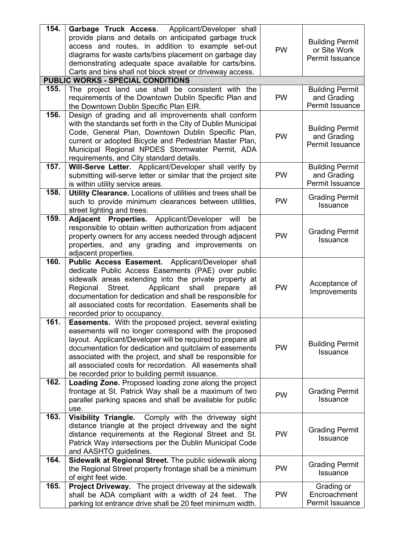| 154. | Garbage Truck Access. Applicant/Developer shall                                                         |           |                                       |
|------|---------------------------------------------------------------------------------------------------------|-----------|---------------------------------------|
|      | provide plans and details on anticipated garbage truck                                                  |           | <b>Building Permit</b>                |
|      | access and routes, in addition to example set-out                                                       | <b>PW</b> | or Site Work                          |
|      | diagrams for waste carts/bins placement on garbage day                                                  |           | Permit Issuance                       |
|      | demonstrating adequate space available for carts/bins.                                                  |           |                                       |
|      | Carts and bins shall not block street or driveway access.                                               |           |                                       |
|      | <b>PUBLIC WORKS - SPECIAL CONDITIONS</b>                                                                |           |                                       |
| 155. | The project land use shall be consistent with the                                                       |           | <b>Building Permit</b>                |
|      | requirements of the Downtown Dublin Specific Plan and                                                   | <b>PW</b> | and Grading                           |
|      | the Downtown Dublin Specific Plan EIR.                                                                  |           | Permit Issuance                       |
| 156. | Design of grading and all improvements shall conform                                                    |           |                                       |
|      | with the standards set forth in the City of Dublin Municipal                                            |           | <b>Building Permit</b>                |
|      | Code, General Plan, Downtown Dublin Specific Plan,                                                      | <b>PW</b> | and Grading                           |
|      | current or adopted Bicycle and Pedestrian Master Plan,                                                  |           | Permit Issuance                       |
|      | Municipal Regional NPDES Stormwater Permit, ADA                                                         |           |                                       |
| 157. | requirements, and City standard details.                                                                |           |                                       |
|      | Will-Serve Letter. Applicant/Developer shall verify by                                                  | <b>PW</b> | <b>Building Permit</b><br>and Grading |
|      | submitting will-serve letter or similar that the project site<br>is within utility service areas.       |           | Permit Issuance                       |
| 158. | Utility Clearance. Locations of utilities and trees shall be                                            |           |                                       |
|      | such to provide minimum clearances between utilities,                                                   | PW        | <b>Grading Permit</b>                 |
|      | street lighting and trees.                                                                              |           | <b>Issuance</b>                       |
| 159. | Adjacent Properties. Applicant/Developer<br>will<br>be                                                  |           |                                       |
|      | responsible to obtain written authorization from adjacent                                               |           |                                       |
|      | property owners for any access needed through adjacent                                                  | <b>PW</b> | <b>Grading Permit</b>                 |
|      | properties, and any grading and improvements on                                                         |           | <b>Issuance</b>                       |
|      | adjacent properties.                                                                                    |           |                                       |
| 160. | Public Access Easement. Applicant/Developer shall                                                       |           |                                       |
|      | dedicate Public Access Easements (PAE) over public                                                      |           |                                       |
|      | sidewalk areas extending into the private property at                                                   |           |                                       |
|      | Street.<br>Applicant shall<br>Regional<br>prepare<br>all                                                | <b>PW</b> | Acceptance of<br>Improvements         |
|      | documentation for dedication and shall be responsible for                                               |           |                                       |
|      | all associated costs for recordation. Easements shall be                                                |           |                                       |
|      | recorded prior to occupancy.                                                                            |           |                                       |
| 161. | <b>Easements.</b> With the proposed project, several existing                                           |           |                                       |
|      | easements will no longer correspond with the proposed                                                   |           |                                       |
|      | layout. Applicant/Developer will be required to prepare all                                             |           | <b>Building Permit</b>                |
|      | documentation for dedication and quitclaim of easements                                                 | <b>PW</b> | Issuance                              |
|      | associated with the project, and shall be responsible for                                               |           |                                       |
|      | all associated costs for recordation. All easements shall                                               |           |                                       |
| 162. | be recorded prior to building permit issuance.<br>Loading Zone. Proposed loading zone along the project |           |                                       |
|      | frontage at St. Patrick Way shall be a maximum of two                                                   |           | <b>Grading Permit</b>                 |
|      | parallel parking spaces and shall be available for public                                               | <b>PW</b> | <b>Issuance</b>                       |
|      | use.                                                                                                    |           |                                       |
| 163. | Visibility Triangle. Comply with the driveway sight                                                     |           |                                       |
|      | distance triangle at the project driveway and the sight                                                 |           |                                       |
|      | distance requirements at the Regional Street and St.                                                    | <b>PW</b> | <b>Grading Permit</b>                 |
|      | Patrick Way intersections per the Dublin Municipal Code                                                 |           | <b>Issuance</b>                       |
|      | and AASHTO guidelines.                                                                                  |           |                                       |
| 164. | Sidewalk at Regional Street. The public sidewalk along                                                  |           |                                       |
|      | the Regional Street property frontage shall be a minimum                                                | <b>PW</b> | <b>Grading Permit</b>                 |
|      | of eight feet wide.                                                                                     |           | <b>Issuance</b>                       |
| 165. | <b>Project Driveway.</b> The project driveway at the sidewalk                                           |           | Grading or                            |
|      | shall be ADA compliant with a width of 24 feet.<br>The                                                  | PW        | Encroachment                          |
|      | parking lot entrance drive shall be 20 feet minimum width.                                              |           | Permit Issuance                       |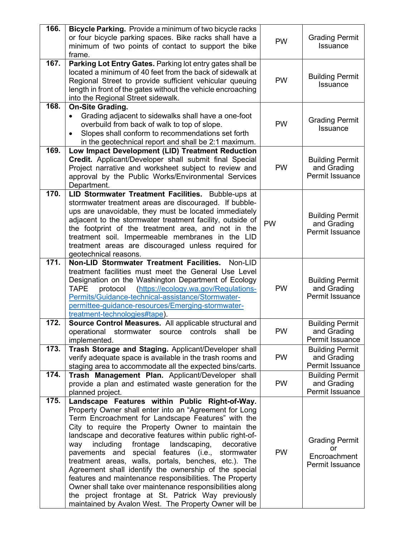| or four bicycle parking spaces. Bike racks shall have a<br><b>Grading Permit</b><br><b>PW</b><br>Issuance<br>minimum of two points of contact to support the bike<br>frame.<br>167.<br>Parking Lot Entry Gates. Parking lot entry gates shall be<br>located a minimum of 40 feet from the back of sidewalk at<br><b>Building Permit</b><br><b>PW</b><br>Regional Street to provide sufficient vehicular queuing<br>Issuance<br>length in front of the gates without the vehicle encroaching<br>into the Regional Street sidewalk.<br>168.<br><b>On-Site Grading.</b><br>Grading adjacent to sidewalks shall have a one-foot<br>$\bullet$<br><b>Grading Permit</b><br>overbuild from back of walk to top of slope.<br><b>PW</b><br><b>Issuance</b><br>Slopes shall conform to recommendations set forth<br>$\bullet$<br>in the geotechnical report and shall be 2:1 maximum.<br>169.<br>Low Impact Development (LID) Treatment Reduction<br>Credit. Applicant/Developer shall submit final Special<br><b>Building Permit</b><br><b>PW</b><br>and Grading<br>Project narrative and worksheet subject to review and<br>Permit Issuance<br>approval by the Public Works/Environmental Services<br>Department.<br>170.<br>LID Stormwater Treatment Facilities. Bubble-ups at<br>stormwater treatment areas are discouraged. If bubble-<br>ups are unavoidable, they must be located immediately<br><b>Building Permit</b><br>adjacent to the stormwater treatment facility, outside of<br><b>PW</b><br>and Grading<br>the footprint of the treatment area, and not in the<br>Permit Issuance<br>treatment soil. Impermeable membranes in the LID<br>treatment areas are discouraged unless required for<br>geotechnical reasons.<br>171.<br>Non-LID Stormwater Treatment Facilities.<br>Non-LID<br>treatment facilities must meet the General Use Level<br><b>Building Permit</b><br>Designation on the Washington Department of Ecology<br><b>PW</b><br>and Grading<br>https://ecology.wa.gov/Regulations-<br><b>TAPE</b><br>protocol<br>Permit Issuance<br>Permits/Guidance-technical-assistance/Stormwater-<br>permittee-guidance-resources/Emerging-stormwater-<br>treatment-technologies#tape).<br>172.<br>Source Control Measures. All applicable structural and<br><b>Building Permit</b><br><b>PW</b><br>and Grading<br>shall<br>operational<br>stormwater<br>source controls<br>be<br>Permit Issuance<br>implemented.<br>173.<br>Trash Storage and Staging. Applicant/Developer shall<br><b>Building Permit</b><br><b>PW</b><br>and Grading<br>verify adequate space is available in the trash rooms and<br>Permit Issuance<br>staging area to accommodate all the expected bins/carts.<br>174.<br>Trash Management Plan. Applicant/Developer shall<br><b>Building Permit</b><br><b>PW</b><br>and Grading<br>provide a plan and estimated waste generation for the<br>Permit Issuance<br>planned project.<br>175.<br>Landscape Features within Public Right-of-Way.<br>Property Owner shall enter into an "Agreement for Long<br>Term Encroachment for Landscape Features" with the<br>City to require the Property Owner to maintain the<br>landscape and decorative features within public right-of-<br><b>Grading Permit</b><br>including<br>frontage<br>landscaping,<br>decorative<br>way<br>or<br><b>PW</b><br>pavements and special features (i.e.,<br>stormwater<br>Encroachment<br>treatment areas, walls, portals, benches, etc.). The<br>Permit Issuance<br>Agreement shall identify the ownership of the special<br>features and maintenance responsibilities. The Property<br>Owner shall take over maintenance responsibilities along<br>the project frontage at St. Patrick Way previously | 166. | Bicycle Parking. Provide a minimum of two bicycle racks |  |
|--------------------------------------------------------------------------------------------------------------------------------------------------------------------------------------------------------------------------------------------------------------------------------------------------------------------------------------------------------------------------------------------------------------------------------------------------------------------------------------------------------------------------------------------------------------------------------------------------------------------------------------------------------------------------------------------------------------------------------------------------------------------------------------------------------------------------------------------------------------------------------------------------------------------------------------------------------------------------------------------------------------------------------------------------------------------------------------------------------------------------------------------------------------------------------------------------------------------------------------------------------------------------------------------------------------------------------------------------------------------------------------------------------------------------------------------------------------------------------------------------------------------------------------------------------------------------------------------------------------------------------------------------------------------------------------------------------------------------------------------------------------------------------------------------------------------------------------------------------------------------------------------------------------------------------------------------------------------------------------------------------------------------------------------------------------------------------------------------------------------------------------------------------------------------------------------------------------------------------------------------------------------------------------------------------------------------------------------------------------------------------------------------------------------------------------------------------------------------------------------------------------------------------------------------------------------------------------------------------------------------------------------------------------------------------------------------------------------------------------------------------------------------------------------------------------------------------------------------------------------------------------------------------------------------------------------------------------------------------------------------------------------------------------------------------------------------------------------------------------------------------------------------------------------------------------------------------------------------------------------------------------------------------------------------------------------------------------------------------------------------------------------------------------------------------------------------------------------------------------------------------------------------------------------------------------------------------------------------------------------------------------------------------------------------------------------------------------|------|---------------------------------------------------------|--|
|                                                                                                                                                                                                                                                                                                                                                                                                                                                                                                                                                                                                                                                                                                                                                                                                                                                                                                                                                                                                                                                                                                                                                                                                                                                                                                                                                                                                                                                                                                                                                                                                                                                                                                                                                                                                                                                                                                                                                                                                                                                                                                                                                                                                                                                                                                                                                                                                                                                                                                                                                                                                                                                                                                                                                                                                                                                                                                                                                                                                                                                                                                                                                                                                                                                                                                                                                                                                                                                                                                                                                                                                                                                                                                              |      |                                                         |  |
|                                                                                                                                                                                                                                                                                                                                                                                                                                                                                                                                                                                                                                                                                                                                                                                                                                                                                                                                                                                                                                                                                                                                                                                                                                                                                                                                                                                                                                                                                                                                                                                                                                                                                                                                                                                                                                                                                                                                                                                                                                                                                                                                                                                                                                                                                                                                                                                                                                                                                                                                                                                                                                                                                                                                                                                                                                                                                                                                                                                                                                                                                                                                                                                                                                                                                                                                                                                                                                                                                                                                                                                                                                                                                                              |      |                                                         |  |
|                                                                                                                                                                                                                                                                                                                                                                                                                                                                                                                                                                                                                                                                                                                                                                                                                                                                                                                                                                                                                                                                                                                                                                                                                                                                                                                                                                                                                                                                                                                                                                                                                                                                                                                                                                                                                                                                                                                                                                                                                                                                                                                                                                                                                                                                                                                                                                                                                                                                                                                                                                                                                                                                                                                                                                                                                                                                                                                                                                                                                                                                                                                                                                                                                                                                                                                                                                                                                                                                                                                                                                                                                                                                                                              |      |                                                         |  |
|                                                                                                                                                                                                                                                                                                                                                                                                                                                                                                                                                                                                                                                                                                                                                                                                                                                                                                                                                                                                                                                                                                                                                                                                                                                                                                                                                                                                                                                                                                                                                                                                                                                                                                                                                                                                                                                                                                                                                                                                                                                                                                                                                                                                                                                                                                                                                                                                                                                                                                                                                                                                                                                                                                                                                                                                                                                                                                                                                                                                                                                                                                                                                                                                                                                                                                                                                                                                                                                                                                                                                                                                                                                                                                              |      |                                                         |  |
|                                                                                                                                                                                                                                                                                                                                                                                                                                                                                                                                                                                                                                                                                                                                                                                                                                                                                                                                                                                                                                                                                                                                                                                                                                                                                                                                                                                                                                                                                                                                                                                                                                                                                                                                                                                                                                                                                                                                                                                                                                                                                                                                                                                                                                                                                                                                                                                                                                                                                                                                                                                                                                                                                                                                                                                                                                                                                                                                                                                                                                                                                                                                                                                                                                                                                                                                                                                                                                                                                                                                                                                                                                                                                                              |      |                                                         |  |
|                                                                                                                                                                                                                                                                                                                                                                                                                                                                                                                                                                                                                                                                                                                                                                                                                                                                                                                                                                                                                                                                                                                                                                                                                                                                                                                                                                                                                                                                                                                                                                                                                                                                                                                                                                                                                                                                                                                                                                                                                                                                                                                                                                                                                                                                                                                                                                                                                                                                                                                                                                                                                                                                                                                                                                                                                                                                                                                                                                                                                                                                                                                                                                                                                                                                                                                                                                                                                                                                                                                                                                                                                                                                                                              |      |                                                         |  |
|                                                                                                                                                                                                                                                                                                                                                                                                                                                                                                                                                                                                                                                                                                                                                                                                                                                                                                                                                                                                                                                                                                                                                                                                                                                                                                                                                                                                                                                                                                                                                                                                                                                                                                                                                                                                                                                                                                                                                                                                                                                                                                                                                                                                                                                                                                                                                                                                                                                                                                                                                                                                                                                                                                                                                                                                                                                                                                                                                                                                                                                                                                                                                                                                                                                                                                                                                                                                                                                                                                                                                                                                                                                                                                              |      |                                                         |  |
|                                                                                                                                                                                                                                                                                                                                                                                                                                                                                                                                                                                                                                                                                                                                                                                                                                                                                                                                                                                                                                                                                                                                                                                                                                                                                                                                                                                                                                                                                                                                                                                                                                                                                                                                                                                                                                                                                                                                                                                                                                                                                                                                                                                                                                                                                                                                                                                                                                                                                                                                                                                                                                                                                                                                                                                                                                                                                                                                                                                                                                                                                                                                                                                                                                                                                                                                                                                                                                                                                                                                                                                                                                                                                                              |      |                                                         |  |
|                                                                                                                                                                                                                                                                                                                                                                                                                                                                                                                                                                                                                                                                                                                                                                                                                                                                                                                                                                                                                                                                                                                                                                                                                                                                                                                                                                                                                                                                                                                                                                                                                                                                                                                                                                                                                                                                                                                                                                                                                                                                                                                                                                                                                                                                                                                                                                                                                                                                                                                                                                                                                                                                                                                                                                                                                                                                                                                                                                                                                                                                                                                                                                                                                                                                                                                                                                                                                                                                                                                                                                                                                                                                                                              |      |                                                         |  |
|                                                                                                                                                                                                                                                                                                                                                                                                                                                                                                                                                                                                                                                                                                                                                                                                                                                                                                                                                                                                                                                                                                                                                                                                                                                                                                                                                                                                                                                                                                                                                                                                                                                                                                                                                                                                                                                                                                                                                                                                                                                                                                                                                                                                                                                                                                                                                                                                                                                                                                                                                                                                                                                                                                                                                                                                                                                                                                                                                                                                                                                                                                                                                                                                                                                                                                                                                                                                                                                                                                                                                                                                                                                                                                              |      |                                                         |  |
|                                                                                                                                                                                                                                                                                                                                                                                                                                                                                                                                                                                                                                                                                                                                                                                                                                                                                                                                                                                                                                                                                                                                                                                                                                                                                                                                                                                                                                                                                                                                                                                                                                                                                                                                                                                                                                                                                                                                                                                                                                                                                                                                                                                                                                                                                                                                                                                                                                                                                                                                                                                                                                                                                                                                                                                                                                                                                                                                                                                                                                                                                                                                                                                                                                                                                                                                                                                                                                                                                                                                                                                                                                                                                                              |      |                                                         |  |
|                                                                                                                                                                                                                                                                                                                                                                                                                                                                                                                                                                                                                                                                                                                                                                                                                                                                                                                                                                                                                                                                                                                                                                                                                                                                                                                                                                                                                                                                                                                                                                                                                                                                                                                                                                                                                                                                                                                                                                                                                                                                                                                                                                                                                                                                                                                                                                                                                                                                                                                                                                                                                                                                                                                                                                                                                                                                                                                                                                                                                                                                                                                                                                                                                                                                                                                                                                                                                                                                                                                                                                                                                                                                                                              |      |                                                         |  |
|                                                                                                                                                                                                                                                                                                                                                                                                                                                                                                                                                                                                                                                                                                                                                                                                                                                                                                                                                                                                                                                                                                                                                                                                                                                                                                                                                                                                                                                                                                                                                                                                                                                                                                                                                                                                                                                                                                                                                                                                                                                                                                                                                                                                                                                                                                                                                                                                                                                                                                                                                                                                                                                                                                                                                                                                                                                                                                                                                                                                                                                                                                                                                                                                                                                                                                                                                                                                                                                                                                                                                                                                                                                                                                              |      |                                                         |  |
|                                                                                                                                                                                                                                                                                                                                                                                                                                                                                                                                                                                                                                                                                                                                                                                                                                                                                                                                                                                                                                                                                                                                                                                                                                                                                                                                                                                                                                                                                                                                                                                                                                                                                                                                                                                                                                                                                                                                                                                                                                                                                                                                                                                                                                                                                                                                                                                                                                                                                                                                                                                                                                                                                                                                                                                                                                                                                                                                                                                                                                                                                                                                                                                                                                                                                                                                                                                                                                                                                                                                                                                                                                                                                                              |      |                                                         |  |
|                                                                                                                                                                                                                                                                                                                                                                                                                                                                                                                                                                                                                                                                                                                                                                                                                                                                                                                                                                                                                                                                                                                                                                                                                                                                                                                                                                                                                                                                                                                                                                                                                                                                                                                                                                                                                                                                                                                                                                                                                                                                                                                                                                                                                                                                                                                                                                                                                                                                                                                                                                                                                                                                                                                                                                                                                                                                                                                                                                                                                                                                                                                                                                                                                                                                                                                                                                                                                                                                                                                                                                                                                                                                                                              |      |                                                         |  |
|                                                                                                                                                                                                                                                                                                                                                                                                                                                                                                                                                                                                                                                                                                                                                                                                                                                                                                                                                                                                                                                                                                                                                                                                                                                                                                                                                                                                                                                                                                                                                                                                                                                                                                                                                                                                                                                                                                                                                                                                                                                                                                                                                                                                                                                                                                                                                                                                                                                                                                                                                                                                                                                                                                                                                                                                                                                                                                                                                                                                                                                                                                                                                                                                                                                                                                                                                                                                                                                                                                                                                                                                                                                                                                              |      |                                                         |  |
|                                                                                                                                                                                                                                                                                                                                                                                                                                                                                                                                                                                                                                                                                                                                                                                                                                                                                                                                                                                                                                                                                                                                                                                                                                                                                                                                                                                                                                                                                                                                                                                                                                                                                                                                                                                                                                                                                                                                                                                                                                                                                                                                                                                                                                                                                                                                                                                                                                                                                                                                                                                                                                                                                                                                                                                                                                                                                                                                                                                                                                                                                                                                                                                                                                                                                                                                                                                                                                                                                                                                                                                                                                                                                                              |      |                                                         |  |
|                                                                                                                                                                                                                                                                                                                                                                                                                                                                                                                                                                                                                                                                                                                                                                                                                                                                                                                                                                                                                                                                                                                                                                                                                                                                                                                                                                                                                                                                                                                                                                                                                                                                                                                                                                                                                                                                                                                                                                                                                                                                                                                                                                                                                                                                                                                                                                                                                                                                                                                                                                                                                                                                                                                                                                                                                                                                                                                                                                                                                                                                                                                                                                                                                                                                                                                                                                                                                                                                                                                                                                                                                                                                                                              |      |                                                         |  |
|                                                                                                                                                                                                                                                                                                                                                                                                                                                                                                                                                                                                                                                                                                                                                                                                                                                                                                                                                                                                                                                                                                                                                                                                                                                                                                                                                                                                                                                                                                                                                                                                                                                                                                                                                                                                                                                                                                                                                                                                                                                                                                                                                                                                                                                                                                                                                                                                                                                                                                                                                                                                                                                                                                                                                                                                                                                                                                                                                                                                                                                                                                                                                                                                                                                                                                                                                                                                                                                                                                                                                                                                                                                                                                              |      |                                                         |  |
|                                                                                                                                                                                                                                                                                                                                                                                                                                                                                                                                                                                                                                                                                                                                                                                                                                                                                                                                                                                                                                                                                                                                                                                                                                                                                                                                                                                                                                                                                                                                                                                                                                                                                                                                                                                                                                                                                                                                                                                                                                                                                                                                                                                                                                                                                                                                                                                                                                                                                                                                                                                                                                                                                                                                                                                                                                                                                                                                                                                                                                                                                                                                                                                                                                                                                                                                                                                                                                                                                                                                                                                                                                                                                                              |      |                                                         |  |
|                                                                                                                                                                                                                                                                                                                                                                                                                                                                                                                                                                                                                                                                                                                                                                                                                                                                                                                                                                                                                                                                                                                                                                                                                                                                                                                                                                                                                                                                                                                                                                                                                                                                                                                                                                                                                                                                                                                                                                                                                                                                                                                                                                                                                                                                                                                                                                                                                                                                                                                                                                                                                                                                                                                                                                                                                                                                                                                                                                                                                                                                                                                                                                                                                                                                                                                                                                                                                                                                                                                                                                                                                                                                                                              |      |                                                         |  |
|                                                                                                                                                                                                                                                                                                                                                                                                                                                                                                                                                                                                                                                                                                                                                                                                                                                                                                                                                                                                                                                                                                                                                                                                                                                                                                                                                                                                                                                                                                                                                                                                                                                                                                                                                                                                                                                                                                                                                                                                                                                                                                                                                                                                                                                                                                                                                                                                                                                                                                                                                                                                                                                                                                                                                                                                                                                                                                                                                                                                                                                                                                                                                                                                                                                                                                                                                                                                                                                                                                                                                                                                                                                                                                              |      |                                                         |  |
|                                                                                                                                                                                                                                                                                                                                                                                                                                                                                                                                                                                                                                                                                                                                                                                                                                                                                                                                                                                                                                                                                                                                                                                                                                                                                                                                                                                                                                                                                                                                                                                                                                                                                                                                                                                                                                                                                                                                                                                                                                                                                                                                                                                                                                                                                                                                                                                                                                                                                                                                                                                                                                                                                                                                                                                                                                                                                                                                                                                                                                                                                                                                                                                                                                                                                                                                                                                                                                                                                                                                                                                                                                                                                                              |      |                                                         |  |
|                                                                                                                                                                                                                                                                                                                                                                                                                                                                                                                                                                                                                                                                                                                                                                                                                                                                                                                                                                                                                                                                                                                                                                                                                                                                                                                                                                                                                                                                                                                                                                                                                                                                                                                                                                                                                                                                                                                                                                                                                                                                                                                                                                                                                                                                                                                                                                                                                                                                                                                                                                                                                                                                                                                                                                                                                                                                                                                                                                                                                                                                                                                                                                                                                                                                                                                                                                                                                                                                                                                                                                                                                                                                                                              |      |                                                         |  |
|                                                                                                                                                                                                                                                                                                                                                                                                                                                                                                                                                                                                                                                                                                                                                                                                                                                                                                                                                                                                                                                                                                                                                                                                                                                                                                                                                                                                                                                                                                                                                                                                                                                                                                                                                                                                                                                                                                                                                                                                                                                                                                                                                                                                                                                                                                                                                                                                                                                                                                                                                                                                                                                                                                                                                                                                                                                                                                                                                                                                                                                                                                                                                                                                                                                                                                                                                                                                                                                                                                                                                                                                                                                                                                              |      |                                                         |  |
|                                                                                                                                                                                                                                                                                                                                                                                                                                                                                                                                                                                                                                                                                                                                                                                                                                                                                                                                                                                                                                                                                                                                                                                                                                                                                                                                                                                                                                                                                                                                                                                                                                                                                                                                                                                                                                                                                                                                                                                                                                                                                                                                                                                                                                                                                                                                                                                                                                                                                                                                                                                                                                                                                                                                                                                                                                                                                                                                                                                                                                                                                                                                                                                                                                                                                                                                                                                                                                                                                                                                                                                                                                                                                                              |      |                                                         |  |
|                                                                                                                                                                                                                                                                                                                                                                                                                                                                                                                                                                                                                                                                                                                                                                                                                                                                                                                                                                                                                                                                                                                                                                                                                                                                                                                                                                                                                                                                                                                                                                                                                                                                                                                                                                                                                                                                                                                                                                                                                                                                                                                                                                                                                                                                                                                                                                                                                                                                                                                                                                                                                                                                                                                                                                                                                                                                                                                                                                                                                                                                                                                                                                                                                                                                                                                                                                                                                                                                                                                                                                                                                                                                                                              |      |                                                         |  |
|                                                                                                                                                                                                                                                                                                                                                                                                                                                                                                                                                                                                                                                                                                                                                                                                                                                                                                                                                                                                                                                                                                                                                                                                                                                                                                                                                                                                                                                                                                                                                                                                                                                                                                                                                                                                                                                                                                                                                                                                                                                                                                                                                                                                                                                                                                                                                                                                                                                                                                                                                                                                                                                                                                                                                                                                                                                                                                                                                                                                                                                                                                                                                                                                                                                                                                                                                                                                                                                                                                                                                                                                                                                                                                              |      |                                                         |  |
|                                                                                                                                                                                                                                                                                                                                                                                                                                                                                                                                                                                                                                                                                                                                                                                                                                                                                                                                                                                                                                                                                                                                                                                                                                                                                                                                                                                                                                                                                                                                                                                                                                                                                                                                                                                                                                                                                                                                                                                                                                                                                                                                                                                                                                                                                                                                                                                                                                                                                                                                                                                                                                                                                                                                                                                                                                                                                                                                                                                                                                                                                                                                                                                                                                                                                                                                                                                                                                                                                                                                                                                                                                                                                                              |      |                                                         |  |
|                                                                                                                                                                                                                                                                                                                                                                                                                                                                                                                                                                                                                                                                                                                                                                                                                                                                                                                                                                                                                                                                                                                                                                                                                                                                                                                                                                                                                                                                                                                                                                                                                                                                                                                                                                                                                                                                                                                                                                                                                                                                                                                                                                                                                                                                                                                                                                                                                                                                                                                                                                                                                                                                                                                                                                                                                                                                                                                                                                                                                                                                                                                                                                                                                                                                                                                                                                                                                                                                                                                                                                                                                                                                                                              |      |                                                         |  |
|                                                                                                                                                                                                                                                                                                                                                                                                                                                                                                                                                                                                                                                                                                                                                                                                                                                                                                                                                                                                                                                                                                                                                                                                                                                                                                                                                                                                                                                                                                                                                                                                                                                                                                                                                                                                                                                                                                                                                                                                                                                                                                                                                                                                                                                                                                                                                                                                                                                                                                                                                                                                                                                                                                                                                                                                                                                                                                                                                                                                                                                                                                                                                                                                                                                                                                                                                                                                                                                                                                                                                                                                                                                                                                              |      |                                                         |  |
|                                                                                                                                                                                                                                                                                                                                                                                                                                                                                                                                                                                                                                                                                                                                                                                                                                                                                                                                                                                                                                                                                                                                                                                                                                                                                                                                                                                                                                                                                                                                                                                                                                                                                                                                                                                                                                                                                                                                                                                                                                                                                                                                                                                                                                                                                                                                                                                                                                                                                                                                                                                                                                                                                                                                                                                                                                                                                                                                                                                                                                                                                                                                                                                                                                                                                                                                                                                                                                                                                                                                                                                                                                                                                                              |      |                                                         |  |
|                                                                                                                                                                                                                                                                                                                                                                                                                                                                                                                                                                                                                                                                                                                                                                                                                                                                                                                                                                                                                                                                                                                                                                                                                                                                                                                                                                                                                                                                                                                                                                                                                                                                                                                                                                                                                                                                                                                                                                                                                                                                                                                                                                                                                                                                                                                                                                                                                                                                                                                                                                                                                                                                                                                                                                                                                                                                                                                                                                                                                                                                                                                                                                                                                                                                                                                                                                                                                                                                                                                                                                                                                                                                                                              |      |                                                         |  |
|                                                                                                                                                                                                                                                                                                                                                                                                                                                                                                                                                                                                                                                                                                                                                                                                                                                                                                                                                                                                                                                                                                                                                                                                                                                                                                                                                                                                                                                                                                                                                                                                                                                                                                                                                                                                                                                                                                                                                                                                                                                                                                                                                                                                                                                                                                                                                                                                                                                                                                                                                                                                                                                                                                                                                                                                                                                                                                                                                                                                                                                                                                                                                                                                                                                                                                                                                                                                                                                                                                                                                                                                                                                                                                              |      |                                                         |  |
|                                                                                                                                                                                                                                                                                                                                                                                                                                                                                                                                                                                                                                                                                                                                                                                                                                                                                                                                                                                                                                                                                                                                                                                                                                                                                                                                                                                                                                                                                                                                                                                                                                                                                                                                                                                                                                                                                                                                                                                                                                                                                                                                                                                                                                                                                                                                                                                                                                                                                                                                                                                                                                                                                                                                                                                                                                                                                                                                                                                                                                                                                                                                                                                                                                                                                                                                                                                                                                                                                                                                                                                                                                                                                                              |      |                                                         |  |
|                                                                                                                                                                                                                                                                                                                                                                                                                                                                                                                                                                                                                                                                                                                                                                                                                                                                                                                                                                                                                                                                                                                                                                                                                                                                                                                                                                                                                                                                                                                                                                                                                                                                                                                                                                                                                                                                                                                                                                                                                                                                                                                                                                                                                                                                                                                                                                                                                                                                                                                                                                                                                                                                                                                                                                                                                                                                                                                                                                                                                                                                                                                                                                                                                                                                                                                                                                                                                                                                                                                                                                                                                                                                                                              |      |                                                         |  |
|                                                                                                                                                                                                                                                                                                                                                                                                                                                                                                                                                                                                                                                                                                                                                                                                                                                                                                                                                                                                                                                                                                                                                                                                                                                                                                                                                                                                                                                                                                                                                                                                                                                                                                                                                                                                                                                                                                                                                                                                                                                                                                                                                                                                                                                                                                                                                                                                                                                                                                                                                                                                                                                                                                                                                                                                                                                                                                                                                                                                                                                                                                                                                                                                                                                                                                                                                                                                                                                                                                                                                                                                                                                                                                              |      |                                                         |  |
|                                                                                                                                                                                                                                                                                                                                                                                                                                                                                                                                                                                                                                                                                                                                                                                                                                                                                                                                                                                                                                                                                                                                                                                                                                                                                                                                                                                                                                                                                                                                                                                                                                                                                                                                                                                                                                                                                                                                                                                                                                                                                                                                                                                                                                                                                                                                                                                                                                                                                                                                                                                                                                                                                                                                                                                                                                                                                                                                                                                                                                                                                                                                                                                                                                                                                                                                                                                                                                                                                                                                                                                                                                                                                                              |      |                                                         |  |
|                                                                                                                                                                                                                                                                                                                                                                                                                                                                                                                                                                                                                                                                                                                                                                                                                                                                                                                                                                                                                                                                                                                                                                                                                                                                                                                                                                                                                                                                                                                                                                                                                                                                                                                                                                                                                                                                                                                                                                                                                                                                                                                                                                                                                                                                                                                                                                                                                                                                                                                                                                                                                                                                                                                                                                                                                                                                                                                                                                                                                                                                                                                                                                                                                                                                                                                                                                                                                                                                                                                                                                                                                                                                                                              |      |                                                         |  |
|                                                                                                                                                                                                                                                                                                                                                                                                                                                                                                                                                                                                                                                                                                                                                                                                                                                                                                                                                                                                                                                                                                                                                                                                                                                                                                                                                                                                                                                                                                                                                                                                                                                                                                                                                                                                                                                                                                                                                                                                                                                                                                                                                                                                                                                                                                                                                                                                                                                                                                                                                                                                                                                                                                                                                                                                                                                                                                                                                                                                                                                                                                                                                                                                                                                                                                                                                                                                                                                                                                                                                                                                                                                                                                              |      |                                                         |  |
|                                                                                                                                                                                                                                                                                                                                                                                                                                                                                                                                                                                                                                                                                                                                                                                                                                                                                                                                                                                                                                                                                                                                                                                                                                                                                                                                                                                                                                                                                                                                                                                                                                                                                                                                                                                                                                                                                                                                                                                                                                                                                                                                                                                                                                                                                                                                                                                                                                                                                                                                                                                                                                                                                                                                                                                                                                                                                                                                                                                                                                                                                                                                                                                                                                                                                                                                                                                                                                                                                                                                                                                                                                                                                                              |      |                                                         |  |
|                                                                                                                                                                                                                                                                                                                                                                                                                                                                                                                                                                                                                                                                                                                                                                                                                                                                                                                                                                                                                                                                                                                                                                                                                                                                                                                                                                                                                                                                                                                                                                                                                                                                                                                                                                                                                                                                                                                                                                                                                                                                                                                                                                                                                                                                                                                                                                                                                                                                                                                                                                                                                                                                                                                                                                                                                                                                                                                                                                                                                                                                                                                                                                                                                                                                                                                                                                                                                                                                                                                                                                                                                                                                                                              |      |                                                         |  |
|                                                                                                                                                                                                                                                                                                                                                                                                                                                                                                                                                                                                                                                                                                                                                                                                                                                                                                                                                                                                                                                                                                                                                                                                                                                                                                                                                                                                                                                                                                                                                                                                                                                                                                                                                                                                                                                                                                                                                                                                                                                                                                                                                                                                                                                                                                                                                                                                                                                                                                                                                                                                                                                                                                                                                                                                                                                                                                                                                                                                                                                                                                                                                                                                                                                                                                                                                                                                                                                                                                                                                                                                                                                                                                              |      |                                                         |  |
|                                                                                                                                                                                                                                                                                                                                                                                                                                                                                                                                                                                                                                                                                                                                                                                                                                                                                                                                                                                                                                                                                                                                                                                                                                                                                                                                                                                                                                                                                                                                                                                                                                                                                                                                                                                                                                                                                                                                                                                                                                                                                                                                                                                                                                                                                                                                                                                                                                                                                                                                                                                                                                                                                                                                                                                                                                                                                                                                                                                                                                                                                                                                                                                                                                                                                                                                                                                                                                                                                                                                                                                                                                                                                                              |      |                                                         |  |
|                                                                                                                                                                                                                                                                                                                                                                                                                                                                                                                                                                                                                                                                                                                                                                                                                                                                                                                                                                                                                                                                                                                                                                                                                                                                                                                                                                                                                                                                                                                                                                                                                                                                                                                                                                                                                                                                                                                                                                                                                                                                                                                                                                                                                                                                                                                                                                                                                                                                                                                                                                                                                                                                                                                                                                                                                                                                                                                                                                                                                                                                                                                                                                                                                                                                                                                                                                                                                                                                                                                                                                                                                                                                                                              |      |                                                         |  |
|                                                                                                                                                                                                                                                                                                                                                                                                                                                                                                                                                                                                                                                                                                                                                                                                                                                                                                                                                                                                                                                                                                                                                                                                                                                                                                                                                                                                                                                                                                                                                                                                                                                                                                                                                                                                                                                                                                                                                                                                                                                                                                                                                                                                                                                                                                                                                                                                                                                                                                                                                                                                                                                                                                                                                                                                                                                                                                                                                                                                                                                                                                                                                                                                                                                                                                                                                                                                                                                                                                                                                                                                                                                                                                              |      |                                                         |  |
|                                                                                                                                                                                                                                                                                                                                                                                                                                                                                                                                                                                                                                                                                                                                                                                                                                                                                                                                                                                                                                                                                                                                                                                                                                                                                                                                                                                                                                                                                                                                                                                                                                                                                                                                                                                                                                                                                                                                                                                                                                                                                                                                                                                                                                                                                                                                                                                                                                                                                                                                                                                                                                                                                                                                                                                                                                                                                                                                                                                                                                                                                                                                                                                                                                                                                                                                                                                                                                                                                                                                                                                                                                                                                                              |      |                                                         |  |
|                                                                                                                                                                                                                                                                                                                                                                                                                                                                                                                                                                                                                                                                                                                                                                                                                                                                                                                                                                                                                                                                                                                                                                                                                                                                                                                                                                                                                                                                                                                                                                                                                                                                                                                                                                                                                                                                                                                                                                                                                                                                                                                                                                                                                                                                                                                                                                                                                                                                                                                                                                                                                                                                                                                                                                                                                                                                                                                                                                                                                                                                                                                                                                                                                                                                                                                                                                                                                                                                                                                                                                                                                                                                                                              |      |                                                         |  |
|                                                                                                                                                                                                                                                                                                                                                                                                                                                                                                                                                                                                                                                                                                                                                                                                                                                                                                                                                                                                                                                                                                                                                                                                                                                                                                                                                                                                                                                                                                                                                                                                                                                                                                                                                                                                                                                                                                                                                                                                                                                                                                                                                                                                                                                                                                                                                                                                                                                                                                                                                                                                                                                                                                                                                                                                                                                                                                                                                                                                                                                                                                                                                                                                                                                                                                                                                                                                                                                                                                                                                                                                                                                                                                              |      |                                                         |  |
|                                                                                                                                                                                                                                                                                                                                                                                                                                                                                                                                                                                                                                                                                                                                                                                                                                                                                                                                                                                                                                                                                                                                                                                                                                                                                                                                                                                                                                                                                                                                                                                                                                                                                                                                                                                                                                                                                                                                                                                                                                                                                                                                                                                                                                                                                                                                                                                                                                                                                                                                                                                                                                                                                                                                                                                                                                                                                                                                                                                                                                                                                                                                                                                                                                                                                                                                                                                                                                                                                                                                                                                                                                                                                                              |      |                                                         |  |
|                                                                                                                                                                                                                                                                                                                                                                                                                                                                                                                                                                                                                                                                                                                                                                                                                                                                                                                                                                                                                                                                                                                                                                                                                                                                                                                                                                                                                                                                                                                                                                                                                                                                                                                                                                                                                                                                                                                                                                                                                                                                                                                                                                                                                                                                                                                                                                                                                                                                                                                                                                                                                                                                                                                                                                                                                                                                                                                                                                                                                                                                                                                                                                                                                                                                                                                                                                                                                                                                                                                                                                                                                                                                                                              |      |                                                         |  |
|                                                                                                                                                                                                                                                                                                                                                                                                                                                                                                                                                                                                                                                                                                                                                                                                                                                                                                                                                                                                                                                                                                                                                                                                                                                                                                                                                                                                                                                                                                                                                                                                                                                                                                                                                                                                                                                                                                                                                                                                                                                                                                                                                                                                                                                                                                                                                                                                                                                                                                                                                                                                                                                                                                                                                                                                                                                                                                                                                                                                                                                                                                                                                                                                                                                                                                                                                                                                                                                                                                                                                                                                                                                                                                              |      |                                                         |  |
|                                                                                                                                                                                                                                                                                                                                                                                                                                                                                                                                                                                                                                                                                                                                                                                                                                                                                                                                                                                                                                                                                                                                                                                                                                                                                                                                                                                                                                                                                                                                                                                                                                                                                                                                                                                                                                                                                                                                                                                                                                                                                                                                                                                                                                                                                                                                                                                                                                                                                                                                                                                                                                                                                                                                                                                                                                                                                                                                                                                                                                                                                                                                                                                                                                                                                                                                                                                                                                                                                                                                                                                                                                                                                                              |      |                                                         |  |
|                                                                                                                                                                                                                                                                                                                                                                                                                                                                                                                                                                                                                                                                                                                                                                                                                                                                                                                                                                                                                                                                                                                                                                                                                                                                                                                                                                                                                                                                                                                                                                                                                                                                                                                                                                                                                                                                                                                                                                                                                                                                                                                                                                                                                                                                                                                                                                                                                                                                                                                                                                                                                                                                                                                                                                                                                                                                                                                                                                                                                                                                                                                                                                                                                                                                                                                                                                                                                                                                                                                                                                                                                                                                                                              |      |                                                         |  |
| maintained by Avalon West. The Property Owner will be                                                                                                                                                                                                                                                                                                                                                                                                                                                                                                                                                                                                                                                                                                                                                                                                                                                                                                                                                                                                                                                                                                                                                                                                                                                                                                                                                                                                                                                                                                                                                                                                                                                                                                                                                                                                                                                                                                                                                                                                                                                                                                                                                                                                                                                                                                                                                                                                                                                                                                                                                                                                                                                                                                                                                                                                                                                                                                                                                                                                                                                                                                                                                                                                                                                                                                                                                                                                                                                                                                                                                                                                                                                        |      |                                                         |  |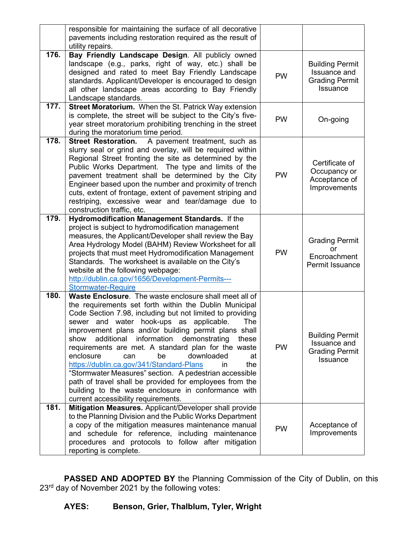|      | responsible for maintaining the surface of all decorative<br>pavements including restoration required as the result of<br>utility repairs.                                                                                                                                                                                                                                                                                                                                                                                                                                                                                                                                                                                         |           |                                                                                    |
|------|------------------------------------------------------------------------------------------------------------------------------------------------------------------------------------------------------------------------------------------------------------------------------------------------------------------------------------------------------------------------------------------------------------------------------------------------------------------------------------------------------------------------------------------------------------------------------------------------------------------------------------------------------------------------------------------------------------------------------------|-----------|------------------------------------------------------------------------------------|
| 176. | Bay Friendly Landscape Design. All publicly owned<br>landscape (e.g., parks, right of way, etc.) shall be<br>designed and rated to meet Bay Friendly Landscape<br>standards. Applicant/Developer is encouraged to design<br>all other landscape areas according to Bay Friendly<br>Landscape standards.                                                                                                                                                                                                                                                                                                                                                                                                                            | <b>PW</b> | <b>Building Permit</b><br>Issuance and<br><b>Grading Permit</b><br><b>Issuance</b> |
| 177. | Street Moratorium. When the St. Patrick Way extension<br>is complete, the street will be subject to the City's five-<br>year street moratorium prohibiting trenching in the street<br>during the moratorium time period.                                                                                                                                                                                                                                                                                                                                                                                                                                                                                                           | <b>PW</b> | On-going                                                                           |
| 178. | <b>Street Restoration.</b><br>A pavement treatment, such as<br>slurry seal or grind and overlay, will be required within<br>Regional Street fronting the site as determined by the<br>Public Works Department. The type and limits of the<br>pavement treatment shall be determined by the City<br>Engineer based upon the number and proximity of trench<br>cuts, extent of frontage, extent of pavement striping and<br>restriping, excessive wear and tear/damage due to<br>construction traffic, etc.                                                                                                                                                                                                                          | <b>PW</b> | Certificate of<br>Occupancy or<br>Acceptance of<br>Improvements                    |
| 179. | Hydromodification Management Standards. If the<br>project is subject to hydromodification management<br>measures, the Applicant/Developer shall review the Bay<br>Area Hydrology Model (BAHM) Review Worksheet for all<br>projects that must meet Hydromodification Management<br>Standards. The worksheet is available on the City's<br>website at the following webpage:<br>http://dublin.ca.gov/1656/Development-Permits---<br><b>Stormwater-Require</b>                                                                                                                                                                                                                                                                        | <b>PW</b> | <b>Grading Permit</b><br><b>or</b><br>Encroachment<br>Permit Issuance              |
| 180. | Waste Enclosure. The waste enclosure shall meet all of<br>the requirements set forth within the Dublin Municipal<br>Code Section 7.98, including but not limited to providing<br>sewer and water hook-ups as applicable.<br>The<br>improvement plans and/or building permit plans shall<br>additional information demonstrating<br>show<br>these<br>requirements are met. A standard plan for the waste<br>enclosure<br>be<br>downloaded<br>can<br>at<br>https://dublin.ca.gov/341/Standard-Plans<br>the<br>in.<br>"Stormwater Measures" section. A pedestrian accessible<br>path of travel shall be provided for employees from the<br>building to the waste enclosure in conformance with<br>current accessibility requirements. | <b>PW</b> | <b>Building Permit</b><br>Issuance and<br><b>Grading Permit</b><br><b>Issuance</b> |
| 181. | Mitigation Measures. Applicant/Developer shall provide<br>to the Planning Division and the Public Works Department<br>a copy of the mitigation measures maintenance manual<br>and schedule for reference, including maintenance<br>procedures and protocols to follow after mitigation<br>reporting is complete.                                                                                                                                                                                                                                                                                                                                                                                                                   | <b>PW</b> | Acceptance of<br>Improvements                                                      |

**PASSED AND ADOPTED BY** the Planning Commission of the City of Dublin, on this 23rd day of November 2021 by the following votes: